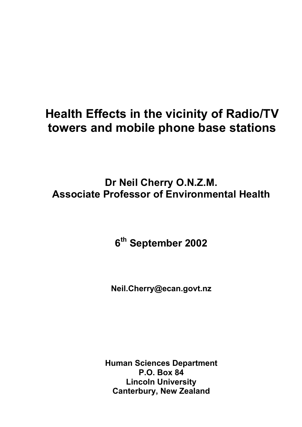# **Health Effects in the vicinity of Radio/TV towers and mobile phone base stations**

**Dr Neil Cherry O.N.Z.M. Associate Professor of Environmental Health** 

**6th September 2002** 

**Neil.Cherry@ecan.govt.nz** 

**Human Sciences Department P.O. Box 84 Lincoln University Canterbury, New Zealand**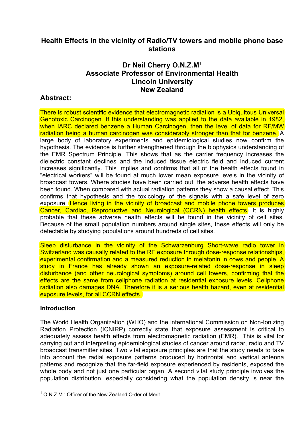### **Health Effects in the vicinity of Radio/TV towers and mobile phone base stations**

### **Dr Neil Cherry O.N.Z.M**<sup>1</sup> **Associate Professor of Environmental Health Lincoln University New Zealand**

### **Abstract:**

There is robust scientific evidence that electromagnetic radiation is a Ubiquitous Universal Genotoxic Carcinogen. If this understanding was applied to the data available in 1982, when IARC declared benzene a Human Carcinogen, then the level of data for RF/MW radiation being a human carcinogen was considerably stronger than that for benzene. A large body of laboratory experiments and epidemiological studies now confirm the hypothesis. The evidence is further strengthened through the biophysics understanding of the EMR Spectrum Principle. This shows that as the carrier frequency increases the dielectric constant declines and the induced tissue electric field and induced current increases significantly. This implies and confirms that all of the health effects found in "electrical workers" will be found at much lower mean exposure levels in the vicinity of broadcast towers. Where studies have been carried out, the adverse health effects have been found. When compared with actual radiation patterns they show a causal effect. This confirms that hypothesis and the toxicology of the signals with a safe level of zero exposure. Hence living in the vicinity of broadcast and mobile phone towers produces Cancer, Cardiac, Reproductive and Neurological (CCRN) health effects. It is highly probable that these adverse health effects will be found in the vicinity of cell sites. Because of the small population numbers around single sites, these effects will only be detectable by studying populations around hundreds of cell sites.

Sleep disturbance in the vicinity of the Schwarzenburg Short-wave radio tower in Switzerland was causally related to the RF exposure through dose-response relationships, experimental confirmation and a measured reduction in melatonin in cows and people. A study in France has already shown an exposure-related dose-response in sleep disturbance (and other neurological symptoms) around cell towers, confirming that the effects are the same from cellphone radiation at residential exposure levels. Cellphone radiation also damages DNA. Therefore it is a serious health hazard, even at residential exposure levels, for all CCRN effects.

#### **Introduction**

The World Health Organization (WHO) and the international Commission on Non-Ionizing Radiation Protection (ICNIRP) correctly state that exposure assessment is critical to adequately assess health effects from electromagnetic radiation (EMR). This is vital for carrying out and interpreting epidemiological studies of cancer around radar, radio and TV broadcast transmitter sites. Two vital exposure principles are that the study needs to take into account the radial exposure patterns produced by horizontal and vertical antenna patterns and recognize that the far-field exposure experienced by residents, exposed the whole body and not just one particular organ. A second vital study principle involves the population distribution, especially considering what the population density is near the

l  $1$  O.N.Z.M.: Officer of the New Zealand Order of Merit.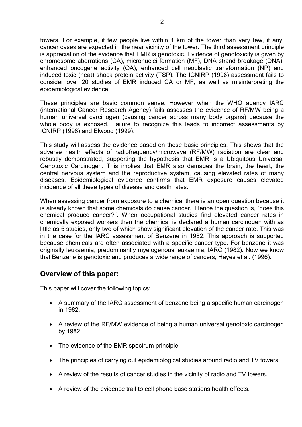towers. For example, if few people live within 1 km of the tower than very few, if any, cancer cases are expected in the near vicinity of the tower. The third assessment principle is appreciation of the evidence that EMR is genotoxic. Evidence of genotoxicity is given by chromosome aberrations (CA), micronuclei formation (MF), DNA strand breakage (DNA), enhanced oncogene activity (OA), enhanced cell neoplastic transformation (NP) and induced toxic (heat) shock protein activity (TSP). The ICNIRP (1998) assessment fails to consider over 20 studies of EMR induced CA or MF, as well as misinterpreting the epidemiological evidence.

These principles are basic common sense. However when the WHO agency IARC (international Cancer Research Agency) fails assesses the evidence of RF/MW being a human universal carcinogen (causing cancer across many body organs) because the whole body is exposed. Failure to recognize this leads to incorrect assessments by ICNIRP (1998) and Elwood (1999).

This study will assess the evidence based on these basic principles. This shows that the adverse health effects of radiofrequency/microwave (RF/MW) radiation are clear and robustly demonstrated, supporting the hypothesis that EMR is a Ubiquitous Universal Genotoxic Carcinogen. This implies that EMR also damages the brain, the heart, the central nervous system and the reproductive system, causing elevated rates of many diseases. Epidemiological evidence confirms that EMR exposure causes elevated incidence of all these types of disease and death rates.

When assessing cancer from exposure to a chemical there is an open question because it is already known that some chemicals do cause cancer. Hence the question is, "does this chemical produce cancer?". When occupational studies find elevated cancer rates in chemically exposed workers then the chemical is declared a human carcinogen with as little as 5 studies, only two of which show significant elevation of the cancer rate. This was in the case for the IARC assessment of Benzene in 1982. This approach is supported because chemicals are often associated with a specific cancer type. For benzene it was originally leukaemia, predominantly myelogenous leukaemia, IARC (1982). Now we know that Benzene is genotoxic and produces a wide range of cancers, Hayes et al. (1996).

#### **Overview of this paper:**

This paper will cover the following topics:

- A summary of the IARC assessment of benzene being a specific human carcinogen in 1982.
- A review of the RF/MW evidence of being a human universal genotoxic carcinogen by 1982.
- The evidence of the EMR spectrum principle.
- The principles of carrying out epidemiological studies around radio and TV towers.
- A review of the results of cancer studies in the vicinity of radio and TV towers.
- A review of the evidence trail to cell phone base stations health effects.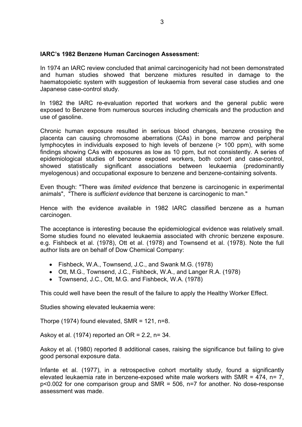#### **IARC's 1982 Benzene Human Carcinogen Assessment:**

In 1974 an IARC review concluded that animal carcinogenicity had not been demonstrated and human studies showed that benzene mixtures resulted in damage to the haematopoietic system with suggestion of leukaemia from several case studies and one Japanese case-control study.

In 1982 the IARC re-evaluation reported that workers and the general public were exposed to Benzene from numerous sources including chemicals and the production and use of gasoline.

Chronic human exposure resulted in serious blood changes, benzene crossing the placenta can causing chromosome aberrations (CAs) in bone marrow and peripheral lymphocytes in individuals exposed to high levels of benzene (> 100 ppm), with some findings showing CAs with exposures as low as 10 ppm, but not consistently. A series of epidemiological studies of benzene exposed workers, both cohort and case-control, showed statistically significant associations between leukaemia (predominantly myelogenous) and occupational exposure to benzene and benzene-containing solvents.

Even though: "There was *limited evidence* that benzene is carcinogenic in experimental animals", "There is *sufficient evidence* that benzene is carcinogenic to man."

Hence with the evidence available in 1982 IARC classified benzene as a human carcinogen.

The acceptance is interesting because the epidemiological evidence was relatively small. Some studies found no elevated leukaemia associated with chronic benzene exposure. e.g. Fishbeck et al. (1978), Ott et al. (1978) and Townsend et al. (1978). Note the full author lists are on behalf of Dow Chemical Company:

- Fishbeck, W.A., Townsend, J.C., and Swank M.G. (1978)
- Ott, M.G., Townsend, J.C., Fishbeck, W.A., and Langer R.A. (1978)
- Townsend, J.C., Ott, M.G. and Fishbeck, W.A. (1978)

This could well have been the result of the failure to apply the Healthy Worker Effect.

Studies showing elevated leukaemia were:

Thorpe  $(1974)$  found elevated, SMR = 121, n=8.

Askoy et al. (1974) reported an  $OR = 2.2$ , n= 34.

Askoy et al. (1980) reported 8 additional cases, raising the significance but failing to give good personal exposure data.

Infante et al. (1977), in a retrospective cohort mortality study, found a significantly elevated leukaemia rate in benzene-exposed white male workers with SMR = 474, n= 7, p<0.002 for one comparison group and SMR = 506, n=7 for another. No dose-response assessment was made.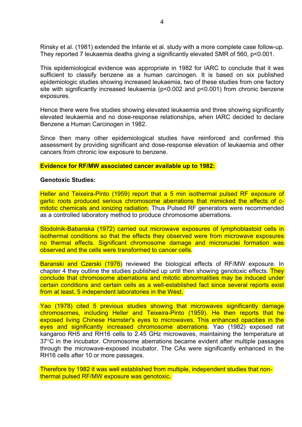Rinsky et al. (1981) extended the Infante et al. study with a more complete case follow-up. They reported 7 leukaemia deaths giving a significantly elevated SMR of 560, p<0.001.

This epidemiological evidence was appropriate in 1982 for IARC to conclude that it was sufficient to classify benzene as a human carcinogen. It is based on six published epidemiologic studies showing increased leukaemia, two of these studies from one factory site with significantly increased leukaemia (p<0.002 and p<0.001) from chronic benzene exposures.

Hence there were five studies showing elevated leukaemia and three showing significantly elevated leukaemia and no dose-response relationships, when IARC decided to declare Benzene a Human Carcinogen in 1982.

Since then many other epidemiological studies have reinforced and confirmed this assessment by providing significant and dose-response elevation of leukaemia and other cancers from chronic low exposure to benzene.

#### **Evidence for RF/MW associated cancer available up to 1982:**

#### **Genotoxic Studies:**

Heller and Teixeira-Pinto (1959) report that a 5 min isothermal pulsed RF exposure of garlic roots produced serious chromosome aberrations that mimicked the effects of cmitotic chemicals and ionizing radiation. Thus Pulsed RF generators were recommended as a controlled laboratory method to produce chromosome aberrations.

Stodolnik-Babanska (1972) carried out microwave exposures of lymphoblastoid cells in isothermal conditions so that the effects they observed were from microwave exposures no thermal effects. Significant chromosome damage and micronuclei formation was observed and the cells were transformed to cancer cells.

Baranski and Czerski (1976) reviewed the biological effects of RF/MW exposure. In chapter 4 they outline the studies published up until then showing genotoxic effects. They conclude that chromosome aberrations and mitotic abnormalities may be induced under certain conditions and certain cells as a well-established fact since several reports exist from at least, 5 independent laboratories in the West.

Yao (1978) cited 5 previous studies showing that microwaves significantly damage chromosomes, including Heller and Teixeira-Pinto (1959). He then reports that he exposed living Chinese Hamster's eyes to microwaves. This enhanced opacities in the eyes and significantly increased chromosome aberrations. Yao (1982) exposed rat kangaroo RH5 and RH16 cells to 2.45 GHz microwaves, maintaining the temperature at 37°C in the incubator. Chromosome aberrations became evident after multiple passages through the microwave-exposed incubator. The CAs were significantly enhanced in the RH16 cells after 10 or more passages.

Therefore by 1982 it was well established from multiple, independent studies that nonthermal pulsed RF/MW exposure was genotoxic.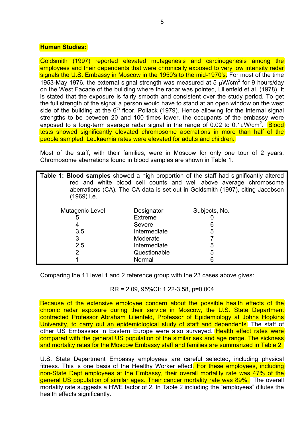#### **Human Studies:**

Goldsmith (1997) reported elevated mutagenesis and carcinogenesis among the employees and their dependents that were chronically exposed to very low intensity radar signals the U.S. Embassy in Moscow in the 1950's to the mid-1970's. For most of the time 1953-May 1976, the external signal strength was measured at 5  $\mu$ W/cm<sup>2</sup> for 9 hours/day on the West Facade of the building where the radar was pointed, Lilienfeld et al. (1978). It is stated that the exposure is fairly smooth and consistent over the study period. To get the full strength of the signal a person would have to stand at an open window on the west side of the building at the  $6<sup>th</sup>$  floor, Pollack (1979). Hence allowing for the internal signal strengths to be between 20 and 100 times lower, the occupants of the embassy were exposed to a long-term average radar signal in the range of 0.02 to 0.1 $\mu$ W/cm<sup>2</sup>. **Blood** tests showed significantly elevated chromosome aberrations in more than half of the people sampled. Leukaemia rates were elevated for adults and children.

Most of the staff, with their families, were in Moscow for only one tour of 2 years. Chromosome aberrations found in blood samples are shown in Table 1.

| (1969) i.e.     |              | <b>Table 1: Blood samples</b> showed a high proportion of the staff had significantly altered<br>red and white blood cell counts and well above average chromosome<br>aberrations (CA). The CA data is set out in Goldsmith (1997), citing Jacobson |
|-----------------|--------------|-----------------------------------------------------------------------------------------------------------------------------------------------------------------------------------------------------------------------------------------------------|
| Mutagenic Level | Designator   | Subjects, No.                                                                                                                                                                                                                                       |
| ხ               | Extreme      |                                                                                                                                                                                                                                                     |
|                 | Severe       |                                                                                                                                                                                                                                                     |
| 3.5             | Intermediate | 5                                                                                                                                                                                                                                                   |
| 3               | Moderate     |                                                                                                                                                                                                                                                     |
| 2.5             | Intermediate | 5                                                                                                                                                                                                                                                   |
| 2               | Questionable | 5                                                                                                                                                                                                                                                   |
|                 | Normal       |                                                                                                                                                                                                                                                     |

Comparing the 11 level 1 and 2 reference group with the 23 cases above gives:

RR = 2.09, 95%CI: 1.22-3.58, p=0.004

Because of the extensive employee concern about the possible health effects of the chronic radar exposure during their service in Moscow, the U.S. State Department contracted Professor Abraham Lilienfeld, Professor of Epidemiology at Johns Hopkins University, to carry out an epidemiological study of staff and dependents. The staff of other US Embassies in Eastern Europe were also surveved. Health effect rates were compared with the general US population of the similar sex and age range. The sickness and mortality rates for the Moscow Embassy staff and families are summarized in Table 2.

U.S. State Department Embassy employees are careful selected, including physical fitness. This is one basis of the Healthy Worker effect. For these employees, including non-State Dept employees at the Embassy, their overall mortality rate was 47% of the general US population of similar ages. Their cancer mortality rate was 89%. The overall mortality rate suggests a HWE factor of 2. In Table 2 including the "employees" dilutes the health effects significantly.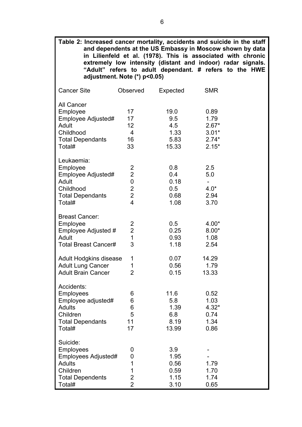| Table 2: Increased cancer mortality, accidents and suicide in the staff                                                |                                                                                                     |                                                                                                                                                                                                                                                   |                                                          |  |  |
|------------------------------------------------------------------------------------------------------------------------|-----------------------------------------------------------------------------------------------------|---------------------------------------------------------------------------------------------------------------------------------------------------------------------------------------------------------------------------------------------------|----------------------------------------------------------|--|--|
|                                                                                                                        | adjustment. Note $(*)$ p<0.05)                                                                      | and dependents at the US Embassy in Moscow shown by data<br>in Lilienfeld et al. (1978). This is associated with chronic<br>extremely low intensity (distant and indoor) radar signals.<br>"Adult" refers to adult dependant. # refers to the HWE |                                                          |  |  |
| <b>Cancer Site</b>                                                                                                     | Observed                                                                                            | Expected                                                                                                                                                                                                                                          | <b>SMR</b>                                               |  |  |
| <b>All Cancer</b><br>Employee<br>Employee Adjusted#<br>Adult<br>Childhood<br><b>Total Dependants</b><br>Total#         | 17<br>17<br>12 <sub>2</sub><br>$\overline{4}$<br>16<br>33                                           | 19.0<br>9.5<br>4.5<br>1.33<br>5.83<br>15.33                                                                                                                                                                                                       | 0.89<br>1.79<br>$2.67*$<br>$3.01*$<br>$2.74*$<br>$2.15*$ |  |  |
| Leukaemia:<br>Employee<br>Employee Adjusted#<br>Adult<br>Childhood<br><b>Total Dependants</b><br>Total#                | $\overline{c}$<br>$\overline{2}$<br>$\pmb{0}$<br>$\overline{2}$<br>$\overline{2}$<br>$\overline{4}$ | 0.8<br>0.4<br>0.18<br>0.5<br>0.68<br>1.08                                                                                                                                                                                                         | 2.5<br>5.0<br>$4.0*$<br>2.94<br>3.70                     |  |  |
| <b>Breast Cancer:</b><br>Employee<br>Employee Adjusted #<br>Adult<br><b>Total Breast Cancer#</b>                       | 2<br>$\overline{2}$<br>1<br>3                                                                       | 0.5<br>0.25<br>0.93<br>1.18                                                                                                                                                                                                                       | $4.00*$<br>$8.00*$<br>1.08<br>2.54                       |  |  |
| <b>Adult Hodgkins disease</b><br><b>Adult Lung Cancer</b><br><b>Adult Brain Cancer</b>                                 | 1<br>1<br>$\overline{2}$                                                                            | 0.07<br>0.56<br>0.15                                                                                                                                                                                                                              | 14.29<br>1.79<br>13.33                                   |  |  |
| Accidents:<br><b>Employees</b><br>Employee adjusted#<br><b>Adults</b><br>Children<br><b>Total Dependants</b><br>Total# | 6<br>6<br>6<br>5<br>11<br>17                                                                        | 11.6<br>5.8<br>1.39<br>6.8<br>8.19<br>13.99                                                                                                                                                                                                       | 0.52<br>1.03<br>$4.32*$<br>0.74<br>1.34<br>0.86          |  |  |
| Suicide:<br><b>Employees</b><br>Employees Adjusted#<br><b>Adults</b><br>Children<br><b>Total Dependents</b><br>Total#  | 0<br>0<br>1<br>1<br>$\overline{2}$<br>$\overline{2}$                                                | 3.9<br>1.95<br>0.56<br>0.59<br>1.15<br>3.10                                                                                                                                                                                                       | 1.79<br>1.70<br>1.74<br>0.65                             |  |  |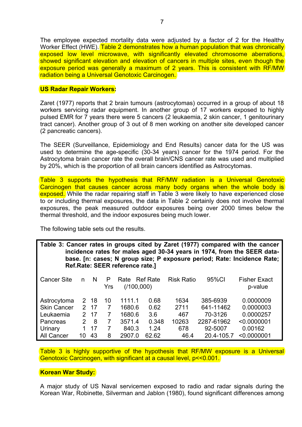The employee expected mortality data were adjusted by a factor of 2 for the Healthy Worker Effect (HWE). Table 2 demonstrates how a human population that was chronically exposed low level microwave, with significantly elevated chromosome aberrations, showed significant elevation and elevation of cancers in multiple sites, even though the exposure period was generally a maximum of 2 years. This is consistent with RF/MW radiation being a Universal Genotoxic Carcinogen.

#### **US Radar Repair Workers:**

Zaret (1977) reports that 2 brain tumours (astrocytomas) occurred in a group of about 18 workers servicing radar equipment. In another group of 17 workers exposed to highly pulsed EMR for 7 years there were 5 cancers (2 leukaemia, 2 skin cancer, 1 genitourinary tract cancer). Another group of 3 out of 8 men working on another site developed cancer (2 pancreatic cancers).

The SEER (Surveillance, Epidemiology and End Results) cancer data for the US was used to determine the age-specific (30-34 years) cancer for the 1974 period. For the Astrocytoma brain cancer rate the overall brain/CNS cancer rate was used and multiplied by 20%, which is the proportion of all brain cancers identified as Astrocytomas.

Table 3 supports the hypothesis that RF/MW radiation is a Universal Genotoxic Carcinogen that causes cancer across many body organs when the whole body is exposed. While the radar repairing staff in Table 3 were likely to have experienced close to or including thermal exposures, the data in Table 2 certainly does not involve thermal exposures, the peak measured outdoor exposures being over 2000 times below the thermal threshold, and the indoor exposures being much lower.

The following table sets out the results.

**Table 3: Cancer rates in groups cited by Zaret (1977) compared with the cancer incidence rates for males aged 30-34 years in 1974, from the SEER database. [n: cases; N group size; P exposure period; Rate: Incidence Rate; Ref.Rate: SEER reference rate.]** 

| <b>Cancer Site</b> | n  | N   | P<br>Yrs | Rate<br>(1100,000) | <b>Ref Rate</b> | <b>Risk Ratio</b> | 95%CI      | <b>Fisher Exact</b><br>p-value |
|--------------------|----|-----|----------|--------------------|-----------------|-------------------|------------|--------------------------------|
| Astrocytoma        | 2. | -18 | 10       | 1111.1             | 0.68            | 1634              | 385-6939   | 0.0000009                      |
| <b>Skin Cancer</b> | 2. | 17  | 7        | 1680.6             | 0.62            | 2711              | 641-11462  | 0.0000003                      |
| Leukaemia          | 2. | 17  | 7        | 1680.6             | 3.6             | 467               | 70-3126    | 0.0000257                      |
| Pancreas           | 2  | 8   | 7        | 3571.4             | 0.348           | 10263             | 2287-61962 | < 0.0000001                    |
| Urinary            |    | 17  | 7        | 840.3              | 1.24            | 678               | 92-5007    | 0.00162                        |
| All Cancer         | 10 | 43  | 8        | 2907.0             | 62.62           | 46.4              | 20.4-105.7 | < 0.0000001                    |

Table 3 is highly supportive of the hypothesis that RF/MW exposure is a Universal Genotoxic Carcinogen, with significant at a causal level, p<<0.001.

#### **Korean War Study:**

A major study of US Naval servicemen exposed to radio and radar signals during the Korean War, Robinette, Silverman and Jablon (1980), found significant differences among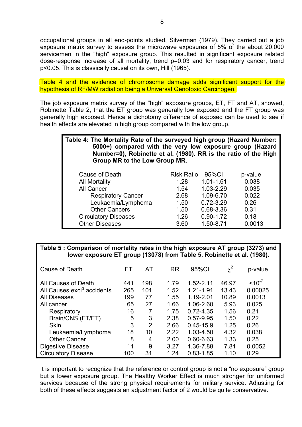occupational groups in all end-points studied, Silverman (1979). They carried out a job exposure matrix survey to assess the microwave exposures of 5% of the about 20,000 servicemen in the "high" exposure group. This resulted in significant exposure related dose-response increase of all mortality, trend p=0.03 and for respiratory cancer, trend p<0.05. This is classically causal on its own, Hill (1965).

Table 4 and the evidence of chromosome damage adds significant support for the hypothesis of RF/MW radiation being a Universal Genotoxic Carcinogen.

The job exposure matrix survey of the "high" exposure groups, ET, FT and AT, showed, Robinette Table 2, that the ET group was generally low exposed and the FT group was generally high exposed. Hence a dichotomy difference of exposed can be used to see if health effects are elevated in high group compared with the low group.

# **Table 4: The Mortality Rate of the surveyed high group (Hazard Number: 5000+) compared with the very low exposure group (Hazard Number=0), Robinette et al. (1980). RR is the ratio of the High Group MR to the Low Group MR.**

| Cause of Death              | <b>Risk Ratio</b> | 95%CI         | p-value |
|-----------------------------|-------------------|---------------|---------|
| <b>All Mortality</b>        | 1.28              | 1.01-1.61     | 0.038   |
| All Cancer                  | 1.54              | 1.03-2.29     | 0.035   |
| <b>Respiratory Cancer</b>   | 2.68              | 1.09-6.70     | 0.022   |
| Leukaemia/Lymphoma          | 1.50              | $0.72 - 3.29$ | 0.26    |
| <b>Other Cancers</b>        | 1.50              | 0.68-3.36     | 0.31    |
| <b>Circulatory Diseases</b> | 1.26              | $0.90 - 1.72$ | 0.18    |
| <b>Other Diseases</b>       | 3.60              | 1.50-8.71     | 0.0013  |

#### **Table 5 : Comparison of mortality rates in the high exposure AT group (3273) and lower exposure ET group (13078) from Table 5, Robinette et al. (1980).**

| Cause of Death                         | EТ  | AT  | <b>RR</b> | 95%CI         | $\chi^2$ | p-value     |
|----------------------------------------|-----|-----|-----------|---------------|----------|-------------|
| All Causes of Death                    | 441 | 198 | 1.79      | 1.52-2.11     | 46.97    | $< 10^{-7}$ |
| All Causes excl <sup>g</sup> accidents | 265 | 101 | 1.52      | 1.21-1.91     | 13.43    | 0.00025     |
| <b>All Diseases</b>                    | 199 | 77  | 1.55      | 1.19-2.01     | 10.89    | 0.0013      |
| All cancer                             | 65  | 27  | 1.66      | 1.06-2.60     | 5.93     | 0.025       |
| Respiratory                            | 16  |     | 1.75      | $0.72 - 4.35$ | 1.56     | 0.21        |
| Brain/CNS (FT/ET)                      | 5   | 3   | 2.38      | 0.57-9.95     | 1.50     | 0.22        |
| <b>Skin</b>                            | 3   | 2   | 2.66      | $0.45 - 15.9$ | 1.25     | 0.26        |
| Leukaemia/Lymphoma                     | 18  | 10  | 2.22      | 1.03-4.50     | 4.32     | 0.038       |
| <b>Other Cancer</b>                    | 8   | 4   | 2.00      | 0.60-6.63     | 1.33     | 0.25        |
| <b>Digestive Disease</b>               | 11  | 9   | 3.27      | 1.36-7.88     | 7.81     | 0.0052      |
| <b>Circulatory Disease</b>             | 100 | 31  | 1.24      | $0.83 - 1.85$ | 1.10     | 0.29        |

It is important to recognize that the reference or control group is not a "no exposure" group but a lower exposure group. The Healthy Worker Effect is much stronger for uniformed services because of the strong physical requirements for military service. Adjusting for both of these effects suggests an adjustment factor of 2 would be quite conservative.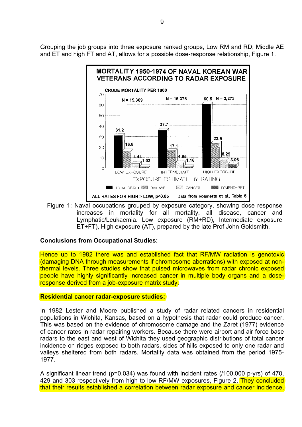Grouping the job groups into three exposure ranked groups, Low RM and RD; Middle AE and ET and high FT and AT, allows for a possible dose-response relationship, Figure 1.



Figure 1: Naval occupations grouped by exposure category, showing dose response increases in mortality for all mortality, all disease, cancer and Lymphatic/Leukaemia. Low exposure (RM+RD), Intermediate exposure ET+FT), High exposure (AT), prepared by the late Prof John Goldsmith.

#### **Conclusions from Occupational Studies:**

Hence up to 1982 there was and established fact that RF/MW radiation is genotoxic (damaging DNA through measurements if chromosome aberrations) with exposed at nonthermal levels. Three studies show that pulsed microwaves from radar chronic exposed people have highly significantly increased cancer in multiple body organs and a doseresponse derived from a job-exposure matrix study.

#### **Residential cancer radar-exposure studies:**

In 1982 Lester and Moore published a study of radar related cancers in residential populations in Wichita, Kansas, based on a hypothesis that radar could produce cancer. This was based on the evidence of chromosome damage and the Zaret (1977) evidence of cancer rates in radar repairing workers. Because there were airport and air force base radars to the east and west of Wichita they used geographic distributions of total cancer incidence on ridges exposed to both radars, sides of hills exposed to only one radar and valleys sheltered from both radars. Mortality data was obtained from the period 1975- 1977.

A significant linear trend (p=0.034) was found with incident rates (/100,000 p-yrs) of 470, 429 and 303 respectively from high to low RF/MW exposures. Figure 2. They concluded that their results established a correlation between radar exposure and cancer incidence,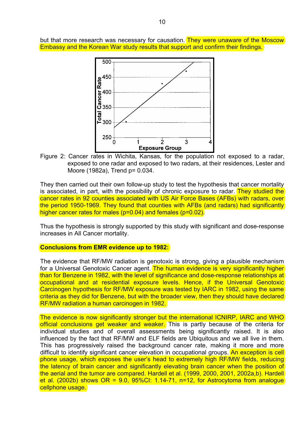but that more research was necessary for causation. They were unaware of the Moscow Embassy and the Korean War study results that support and confirm their findings.



Figure 2: Cancer rates in Wichita, Kansas, for the population not exposed to a radar, exposed to one radar and exposed to two radars, at their residences, Lester and Moore (1982a), Trend p= 0.034.

They then carried out their own follow-up study to test the hypothesis that cancer mortality is associated, in part, with the possibility of chronic exposure to radar. They studied the cancer rates in 92 counties associated with US Air Force Bases (AFBs) with radars, over the period 1950-1969. They found that counties with AFBs (and radars) had significantly higher cancer rates for males (p=0.04) and females (p=0.02).

Thus the hypothesis is strongly supported by this study with significant and dose-response increases in All Cancer mortality.

#### **Conclusions from EMR evidence up to 1982:**

The evidence that RF/MW radiation is genotoxic is strong, giving a plausible mechanism for a Universal Genotoxic Cancer agent. The human evidence is very significantly higher than for Benzene in 1982, with the level of significance and dose-response relationships at occupational and at residential exposure levels. Hence, if the Universal Genotoxic Carcinogen hypothesis for RF/MW exposure was tested by IARC in 1982, using the same criteria as they did for Benzene, but with the broader view, then they should have declared RF/MW radiation a human carcinogen in 1982.

The evidence is now significantly stronger but the international ICNIRP, IARC and WHO official conclusions get weaker and weaker. This is partly because of the criteria for individual studies and of overall assessments being significantly raised. It is also influenced by the fact that RF/MW and ELF fields are Ubiquitous and we all live in them. This has progressively raised the background cancer rate, making it more and more difficult to identify significant cancer elevation in occupational groups. An exception is cell phone usage, which exposes the user's head to extremely high RF/MW fields, reducing the latency of brain cancer and significantly elevating brain cancer when the position of the aerial and the tumor are compared. Hardell et al. (1999, 2000, 2001, 2002a,b). Hardell et al. (2002b) shows  $OR = 9.0$ , 95%CI: 1.14-71, n=12, for Astrocytoma from analogue cellphone usage.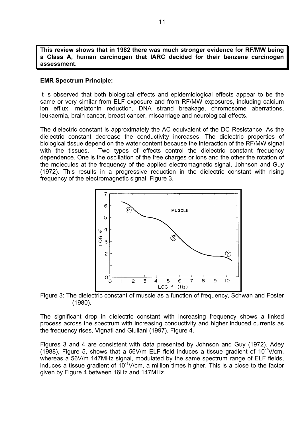**This review shows that in 1982 there was much stronger evidence for RF/MW being a Class A, human carcinogen that IARC decided for their benzene carcinogen assessment.** 

#### **EMR Spectrum Principle:**

It is observed that both biological effects and epidemiological effects appear to be the same or very similar from ELF exposure and from RF/MW exposures, including calcium ion efflux, melatonin reduction, DNA strand breakage, chromosome aberrations, leukaemia, brain cancer, breast cancer, miscarriage and neurological effects.

The dielectric constant is approximately the AC equivalent of the DC Resistance. As the dielectric constant decrease the conductivity increases. The dielectric properties of biological tissue depend on the water content because the interaction of the RF/MW signal with the tissues. Two types of effects control the dielectric constant frequency dependence. One is the oscillation of the free charges or ions and the other the rotation of the molecules at the frequency of the applied electromagnetic signal, Johnson and Guy (1972). This results in a progressive reduction in the dielectric constant with rising frequency of the electromagnetic signal, Figure 3.



Figure 3: The dielectric constant of muscle as a function of frequency, Schwan and Foster (1980).

The significant drop in dielectric constant with increasing frequency shows a linked process across the spectrum with increasing conductivity and higher induced currents as the frequency rises, Vignati and Giuliani (1997), Figure 4.

Figures 3 and 4 are consistent with data presented by Johnson and Guy (1972). Adey (1988), Figure 5, shows that a 56V/m ELF field induces a tissue gradient of  $10^{-7}$ V/cm, whereas a 56V/m 147MHz signal, modulated by the same spectrum range of ELF fields, induces a tissue gradient of  $10^{-1}$ V/cm, a million times higher. This is a close to the factor given by Figure 4 between 16Hz and 147MHz.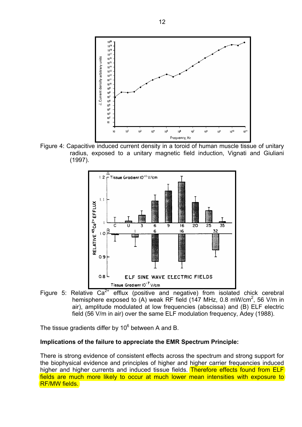

Figure 4: Capacitive induced current density in a toroid of human muscle tissue of unitary radius, exposed to a unitary magnetic field induction, Vignati and Giuliani (1997).



Figure 5: Relative  $Ca^{2+}$  efflux (positive and negative) from isolated chick cerebral hemisphere exposed to (A) weak RF field (147 MHz, 0.8 mW/cm<sup>2</sup>, 56 V/m in air), amplitude modulated at low frequencies (abscissa) and (B) ELF electric field (56 V/m in air) over the same ELF modulation frequency, Adey (1988).

The tissue gradients differ by 10 $^6$  between A and B.

#### **Implications of the failure to appreciate the EMR Spectrum Principle:**

There is strong evidence of consistent effects across the spectrum and strong support for the biophysical evidence and principles of higher and higher carrier frequencies induced higher and higher currents and induced tissue fields. Therefore effects found from ELF fields are much more likely to occur at much lower mean intensities with exposure to RF/MW fields.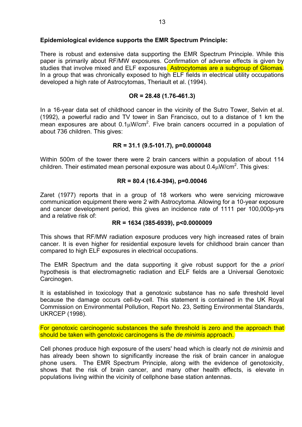#### **Epidemiological evidence supports the EMR Spectrum Principle:**

There is robust and extensive data supporting the EMR Spectrum Principle. While this paper is primarily about RF/MW exposures. Confirmation of adverse effects is given by studies that involve mixed and ELF exposures. Astrocytomas are a subgroup of Gliomas. In a group that was chronically exposed to high ELF fields in electrical utility occupations developed a high rate of Astrocytomas, Theriault et al. (1994).

#### **OR = 28.48 (1.76-461.3)**

In a 16-year data set of childhood cancer in the vicinity of the Sutro Tower, Selvin et al. (1992), a powerful radio and TV tower in San Francisco, out to a distance of 1 km the mean exposures are about  $0.1 \mu W/cm^2$ . Five brain cancers occurred in a population of about 736 children. This gives:

#### **RR = 31.1 (9.5-101.7), p=0.0000048**

Within 500m of the tower there were 2 brain cancers within a population of about 114 children. Their estimated mean personal exposure was about  $0.4 \mu$ W/cm<sup>2</sup>. This gives:

#### **RR = 80.4 (16.4-394), p=0.00046**

Zaret (1977) reports that in a group of 18 workers who were servicing microwave communication equipment there were 2 with Astrocytoma. Allowing for a 10-year exposure and cancer development period, this gives an incidence rate of 1111 per 100,000p-yrs and a relative risk of:

#### **RR = 1634 (385-6939), p<0.0000009**

This shows that RF/MW radiation exposure produces very high increased rates of brain cancer. It is even higher for residential exposure levels for childhood brain cancer than compared to high ELF exposures in electrical occupations.

The EMR Spectrum and the data supporting it give robust support for the *a priori* hypothesis is that electromagnetic radiation and ELF fields are a Universal Genotoxic Carcinogen.

It is established in toxicology that a genotoxic substance has no safe threshold level because the damage occurs cell-by-cell. This statement is contained in the UK Royal Commission on Environmental Pollution, Report No. 23, Setting Environmental Standards, UKRCEP (1998).

For genotoxic carcinogenic substances the safe threshold is zero and the approach that should be taken with genotoxic carcinogens is the *de minimis* approach.

Cell phones produce high exposure of the users' head which is clearly not *de minimis* and has already been shown to significantly increase the risk of brain cancer in analogue phone users. The EMR Spectrum Principle, along with the evidence of genotoxicity, shows that the risk of brain cancer, and many other health effects, is elevate in populations living within the vicinity of cellphone base station antennas.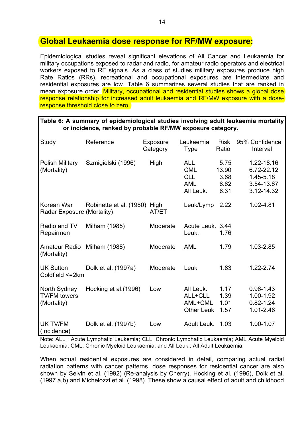### **Global Leukaemia dose response for RF/MW exposure:**

Epidemiological studies reveal significant elevations of All Cancer and Leukaemia for military occupations exposed to radar and radio, for amateur radio operators and electrical workers exposed to RF signals. As a class of studies military exposures produce high Rate Ratios (RRs), recreational and occupational exposures are intermediate and residential exposures are low. Table 6 summarizes several studies that are ranked in mean exposure order. Military, occupational and residential studies shows a global dose response relationship for increased adult leukaemia and RF/MW exposure with a doseresponse threshold close to zero.

| Table 6: A summary of epidemiological studies involving adult leukaemia mortality |                                                           |  |  |
|-----------------------------------------------------------------------------------|-----------------------------------------------------------|--|--|
|                                                                                   | or incidence, ranked by probable RF/MW exposure category. |  |  |

| Study                                              | Reference                    | Exposure<br>Category | Leukaemia<br><b>Type</b>                                          | <b>Risk</b><br>Ratio                  | 95% Confidence<br>Interval                                        |
|----------------------------------------------------|------------------------------|----------------------|-------------------------------------------------------------------|---------------------------------------|-------------------------------------------------------------------|
| Polish Military<br>(Mortality)                     | Szmigielski (1996)           | High                 | <b>ALL</b><br><b>CML</b><br><b>CLL</b><br><b>AML</b><br>All Leuk. | 5.75<br>13.90<br>3.68<br>8.62<br>6.31 | 1.22-18.16<br>6.72-22.12<br>1.45-5.18<br>3.54-13.67<br>3.12-14.32 |
| Korean War<br>Radar Exposure (Mortality)           | Robinette et al. (1980) High | AT/ET                | Leuk/Lymp                                                         | 2.22                                  | 1.02-4.81                                                         |
| Radio and TV<br>Repairmen                          | Milham (1985)                | Moderate             | Acute Leuk. 3.44<br>Leuk.                                         | 1.76                                  |                                                                   |
| <b>Amateur Radio</b><br>(Mortality)                | Milham (1988)                | Moderate             | <b>AML</b>                                                        | 1.79                                  | 1.03-2.85                                                         |
| <b>UK Sutton</b><br>Coldfield <= 2km               | Dolk et al. (1997a)          | Moderate             | Leuk                                                              | 1.83                                  | $1.22 - 2.74$                                                     |
| North Sydney<br><b>TV/FM towers</b><br>(Mortality) | Hocking et al. (1996)        | Low                  | All Leuk.<br>ALL+CLL<br>AML+CML<br><b>Other Leuk</b>              | 1.17<br>1.39<br>1.01<br>1.57          | $0.96 - 1.43$<br>1.00-1.92<br>$0.82 - 1.24$<br>1.01-2.46          |
| UK TV/FM<br>(Incidence)                            | Dolk et al. (1997b)          | Low                  | Adult Leuk.                                                       | 1.03                                  | 1.00-1.07                                                         |

Note: ALL : Acute Lymphatic Leukemia; CLL: Chronic Lymphatic Leukaemia; AML Acute Myeloid Leukaemia; CML: Chronic Myeloid Leukaemia; and All Leuk.: All Adult Leukaemia.

When actual residential exposures are considered in detail, comparing actual radial radiation patterns with cancer patterns, dose responses for residential cancer are also shown by Selvin et al. (1992) (Re-analysis by Cherry), Hocking et al. (1996), Dolk et al. (1997 a,b) and Michelozzi et al. (1998). These show a causal effect of adult and childhood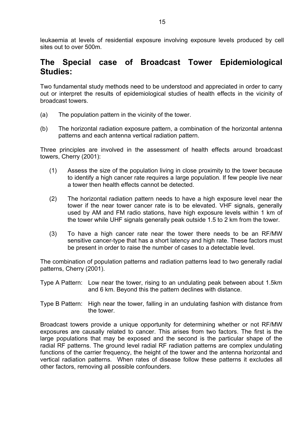leukaemia at levels of residential exposure involving exposure levels produced by cell sites out to over 500m.

## **The Special case of Broadcast Tower Epidemiological Studies:**

Two fundamental study methods need to be understood and appreciated in order to carry out or interpret the results of epidemiological studies of health effects in the vicinity of broadcast towers.

- (a) The population pattern in the vicinity of the tower.
- (b) The horizontal radiation exposure pattern, a combination of the horizontal antenna patterns and each antenna vertical radiation pattern.

Three principles are involved in the assessment of health effects around broadcast towers, Cherry (2001):

- (1) Assess the size of the population living in close proximity to the tower because to identify a high cancer rate requires a large population. If few people live near a tower then health effects cannot be detected.
- (2) The horizontal radiation pattern needs to have a high exposure level near the tower if the near tower cancer rate is to be elevated. VHF signals, generally used by AM and FM radio stations, have high exposure levels within 1 km of the tower while UHF signals generally peak outside 1.5 to 2 km from the tower.
- (3) To have a high cancer rate near the tower there needs to be an RF/MW sensitive cancer-type that has a short latency and high rate. These factors must be present in order to raise the number of cases to a detectable level.

The combination of population patterns and radiation patterns lead to two generally radial patterns, Cherry (2001).

- Type A Pattern: Low near the tower, rising to an undulating peak between about 1.5km and 6 km. Beyond this the pattern declines with distance.
- Type B Pattern: High near the tower, falling in an undulating fashion with distance from the tower.

Broadcast towers provide a unique opportunity for determining whether or not RF/MW exposures are causally related to cancer. This arises from two factors. The first is the large populations that may be exposed and the second is the particular shape of the radial RF patterns. The ground level radial RF radiation patterns are complex undulating functions of the carrier frequency, the height of the tower and the antenna horizontal and vertical radiation patterns. When rates of disease follow these patterns it excludes all other factors, removing all possible confounders.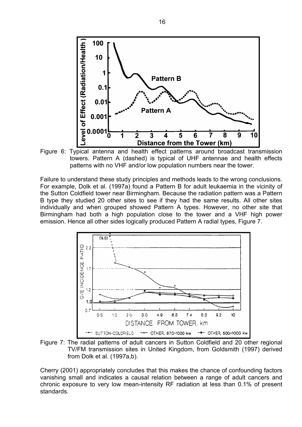

towers. Pattern A (dashed) is typical of UHF antennae and health effects patterns with no VHF and/or low population numbers near the tower.

Failure to understand these study principles and methods leads to the wrong conclusions. For example, Dolk et al. (1997a) found a Pattern B for adult leukaemia in the vicinity of the Sutton Coldfield tower near Birmingham. Because the radiation pattern was a Pattern B type they studied 20 other sites to see if they had the same results. All other sites individually and when grouped showed Pattern A types. However, no other site that Birmingham had both a high population close to the tower and a VHF high power emission. Hence all other sides logically produced Pattern A radial types, Figure 7.



Figure 7: The radial patterns of adult cancers in Sutton Coldfield and 20 other regional TV/FM transmission sites in United Kingdom, from Goldsmith (1997) derived from Dolk et al. (1997a,b).

Cherry (2001) appropriately concludes that this makes the chance of confounding factors vanishing small and indicates a causal relation between a range of adult cancers and chronic exposure to very low mean-intensity RF radiation at less than 0.1% of present standards.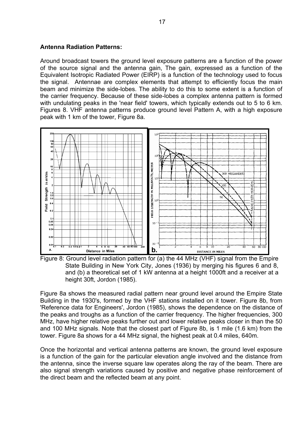#### **Antenna Radiation Patterns:**

Around broadcast towers the ground level exposure patterns are a function of the power of the source signal and the antenna gain, The gain, expressed as a function of the Equivalent Isotropic Radiated Power (EIRP) is a function of the technology used to focus the signal. Antennae are complex elements that attempt to efficiently focus the main beam and minimize the side-lobes. The ability to do this to some extent is a function of the carrier frequency. Because of these side-lobes a complex antenna pattern is formed with undulating peaks in the 'near field' towers, which typically extends out to 5 to 6 km. Figures 8. VHF antenna patterns produce ground level Pattern A, with a high exposure peak with 1 km of the tower, Figure 8a.



Figure 8: Ground level radiation pattern for (a) the 44 MHz (VHF) signal from the Empire State Building in New York City, Jones (1936) by merging his figures 6 and 8, and (b) a theoretical set of 1 kW antenna at a height 1000ft and a receiver at a height 30ft, Jordon (1985).

Figure 8a shows the measured radial pattern near ground level around the Empire State Building in the 1930's, formed by the VHF stations installed on it tower. Figure 8b, from 'Reference data for Engineers', Jordon (1985), shows the dependence on the distance of the peaks and troughs as a function of the carrier frequency. The higher frequencies, 300 MHz, have higher relative peaks further out and lower relative peaks closer in than the 50 and 100 MHz signals. Note that the closest part of Figure 8b, is 1 mile (1.6 km) from the tower. Figure 8a shows for a 44 MHz signal, the highest peak at 0.4 miles, 640m.

Once the horizontal and vertical antenna patterns are known, the ground level exposure is a function of the gain for the particular elevation angle involved and the distance from the antenna, since the inverse square law operates along the ray of the beam. There are also signal strength variations caused by positive and negative phase reinforcement of the direct beam and the reflected beam at any point.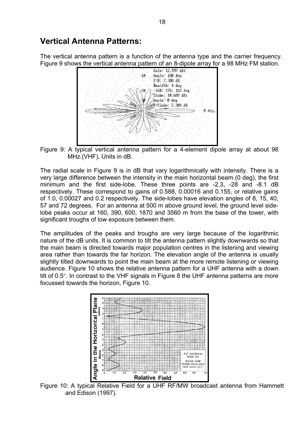### **Vertical Antenna Patterns:**

The vertical antenna pattern is a function of the antenna type and the carrier frequency. Figure 9 shows the vertical antenna pattern of an 8-dipole array for a 98 MHz FM station.



Figure 9: A typical vertical antenna pattern for a 4-element dipole array at about 98 MHz.(VHF), Units in dB.

The radial scale in Figure 9 is in dB that vary logarithmically with intensity. There is a very large difference between the intensity in the main horizontal beam (0 deg), the first minimum and the first side-lobe. These three points are -2.3, -28 and -8.1 dB respectively. These correspond to gains of 0.588, 0.00016 and 0.155, or relative gains of 1.0, 0.00027 and 0.2 respectively. The side-lobes have elevation angles of 8, 15, 40, 57 and 72 degrees. For an antenna at 500 m above ground level, the ground level sidelobe peaks occur at 160, 390, 600, 1870 and 3560 m from the base of the tower, with significant troughs of low exposure between them.

The amplitudes of the peaks and troughs are very large because of the logarithmic nature of the dB units. It is common to tilt the antenna pattern slightly downwards so that the main beam is directed towards major population centres in the listening and viewing area rather than towards the far horizon. The elevation angle of the antenna is usually slightly tilted downwards to point the main beam at the more remote listening or viewing audience. Figure 10 shows the relative antenna pattern for a UHF antenna with a down tilt of  $0.5^\circ$ . In contrast to the VHF signals in Figure 8 the UHF antenna patterns are more focussed towards the horizon, Figure 10.



Figure 10: A typical Relative Field for a UHF RF/MW broadcast antenna from Hammett and Edison (1997).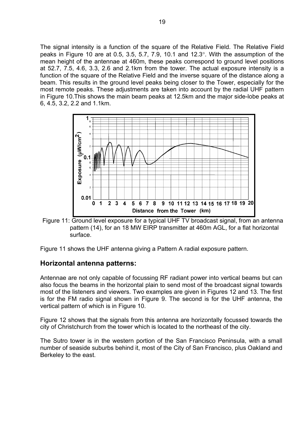The signal intensity is a function of the square of the Relative Field. The Relative Field peaks in Figure 10 are at 0.5, 3.5, 5.7, 7.9, 10.1 and 12.3°. With the assumption of the mean height of the antennae at 460m, these peaks correspond to ground level positions at 52.7, 7.5, 4.6, 3.3, 2.6 and 2.1km from the tower. The actual exposure intensity is a function of the square of the Relative Field and the inverse square of the distance along a beam. This results in the ground level peaks being closer to the Tower, especially for the most remote peaks. These adjustments are taken into account by the radial UHF pattern in Figure 10.This shows the main beam peaks at 12.5km and the major side-lobe peaks at 6, 4.5, 3.2, 2.2 and 1.1km.



Figure 11: Ground level exposure for a typical UHF TV broadcast signal, from an antenna pattern (14), for an 18 MW EIRP transmitter at 460m AGL, for a flat horizontal surface.

Figure 11 shows the UHF antenna giving a Pattern A radial exposure pattern.

#### **Horizontal antenna patterns:**

Antennae are not only capable of focussing RF radiant power into vertical beams but can also focus the beams in the horizontal plain to send most of the broadcast signal towards most of the listeners and viewers. Two examples are given in Figures 12 and 13. The first is for the FM radio signal shown in Figure 9. The second is for the UHF antenna, the vertical pattern of which is in Figure 10.

Figure 12 shows that the signals from this antenna are horizontally focussed towards the city of Christchurch from the tower which is located to the northeast of the city.

The Sutro tower is in the western portion of the San Francisco Peninsula, with a small number of seaside suburbs behind it, most of the City of San Francisco, plus Oakland and Berkeley to the east.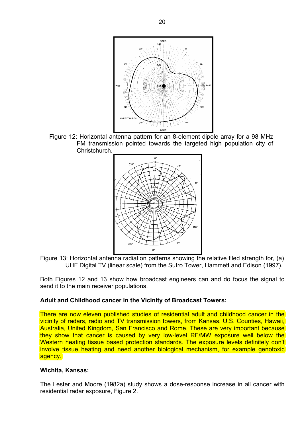

Figure 12: Horizontal antenna pattern for an 8-element dipole array for a 98 MHz FM transmission pointed towards the targeted high population city of Christchurch.



Figure 13: Horizontal antenna radiation patterns showing the relative filed strength for, (a) UHF Digital TV (linear scale) from the Sutro Tower, Hammett and Edison (1997).

Both Figures 12 and 13 show how broadcast engineers can and do focus the signal to send it to the main receiver populations.

#### **Adult and Childhood cancer in the Vicinity of Broadcast Towers:**

There are now eleven published studies of residential adult and childhood cancer in the vicinity of radars, radio and TV transmission towers, from Kansas, U.S. Counties, Hawaii, Australia, United Kingdom, San Francisco and Rome. These are very important because they show that cancer is caused by very low-level RF/MW exposure well below the Western heating tissue based protection standards. The exposure levels definitely don't involve tissue heating and need another biological mechanism, for example genotoxic agency.

#### **Wichita, Kansas:**

The Lester and Moore (1982a) study shows a dose-response increase in all cancer with residential radar exposure, Figure 2.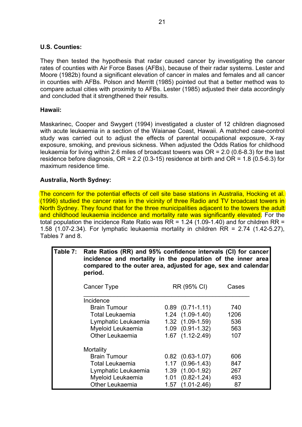#### **U.S. Counties:**

They then tested the hypothesis that radar caused cancer by investigating the cancer rates of counties with Air Force Bases (AFBs), because of their radar systems. Lester and Moore (1982b) found a significant elevation of cancer in males and females and all cancer in counties with AFBs. Polson and Merritt (1985) pointed out that a better method was to compare actual cities with proximity to AFBs. Lester (1985) adjusted their data accordingly and concluded that it strengthened their results.

#### **Hawaii:**

Maskarinec, Cooper and Swygert (1994) investigated a cluster of 12 children diagnosed with acute leukaemia in a section of the Waianae Coast, Hawaii. A matched case-control study was carried out to adjust the effects of parental occupational exposure, X-ray exposure, smoking, and previous sickness. When adjusted the Odds Ratios for childhood leukaemia for living within 2.6 miles of broadcast towers was OR = 2.0 (0.6-8.3) for the last residence before diagnosis,  $OR = 2.2$  (0.3-15) residence at birth and  $OR = 1.8$  (0.5-6.3) for maximum residence time.

#### **Australia, North Sydney:**

The concern for the potential effects of cell site base stations in Australia, Hocking et al. (1996) studied the cancer rates in the vicinity of three Radio and TV broadcast towers in North Sydney. They found that for the three municipalities adjacent to the towers the adult and childhood leukaemia incidence and mortality rate was significantly elevated. For the total population the incidence Rate Ratio was RR = 1.24 (1.09-1.40) and for children RR = 1.58 (1.07-2.34). For lymphatic leukaemia mortality in children RR = 2.74 (1.42-5.27), Tables 7 and 8.

| Table 7: | Rate Ratios (RR) and 95% confidence intervals (CI) for cancer<br>incidence and mortality in the population of the inner area<br>compared to the outer area, adjusted for age, sex and calendar<br>period. |                        |       |  |  |  |
|----------|-----------------------------------------------------------------------------------------------------------------------------------------------------------------------------------------------------------|------------------------|-------|--|--|--|
|          | Cancer Type                                                                                                                                                                                               | RR (95% CI)            | Cases |  |  |  |
|          | Incidence                                                                                                                                                                                                 |                        |       |  |  |  |
|          | <b>Brain Tumour</b>                                                                                                                                                                                       | $0.89$ $(0.71-1.11)$   | 740   |  |  |  |
|          | Total Leukaemia                                                                                                                                                                                           | $1.24$ $(1.09-1.40)$   | 1206  |  |  |  |
|          | Lymphatic Leukaemia                                                                                                                                                                                       | $1.32$ $(1.09-1.59)$   | 536   |  |  |  |
|          | Myeloid Leukaemia                                                                                                                                                                                         | $1.09$ $(0.91 - 1.32)$ | 563   |  |  |  |
|          | Other Leukaemia                                                                                                                                                                                           | $1.67$ $(1.12 - 2.49)$ | 107   |  |  |  |
|          | Mortality                                                                                                                                                                                                 |                        |       |  |  |  |
|          | <b>Brain Tumour</b>                                                                                                                                                                                       | $0.82$ $(0.63-1.07)$   | 606   |  |  |  |
|          | Total Leukaemia                                                                                                                                                                                           | $1.17(0.96-1.43)$      | 847   |  |  |  |
|          | Lymphatic Leukaemia                                                                                                                                                                                       | 1.39 (1.00-1.92)       | 267   |  |  |  |
|          | Myeloid Leukaemia                                                                                                                                                                                         | $1.01$ $(0.82 - 1.24)$ | 493   |  |  |  |
|          | <b>Other Leukaemia</b>                                                                                                                                                                                    | $1.57$ $(1.01 - 2.46)$ | 87    |  |  |  |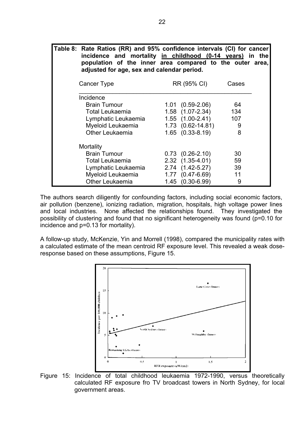| Table 8: Rate Ratios (RR) and 95% confidence intervals (CI) for cancer<br>incidence and mortality in childhood (0-14 years) in the<br>population of the inner area compared to the outer area,<br>adjusted for age, sex and calendar period. |             |       |
|----------------------------------------------------------------------------------------------------------------------------------------------------------------------------------------------------------------------------------------------|-------------|-------|
| Cancer Type                                                                                                                                                                                                                                  | RR (95% CI) | Cases |
| lnoidanoa                                                                                                                                                                                                                                    |             |       |

| 11 IVIUVI IVV          |                         |     |  |
|------------------------|-------------------------|-----|--|
| <b>Brain Tumour</b>    | $1.01$ $(0.59-2.06)$    | 64  |  |
| <b>Total Leukaemia</b> | 1.58 (1.07-2.34)        | 134 |  |
| Lymphatic Leukaemia    | $1.55$ $(1.00-2.41)$    | 107 |  |
| Myeloid Leukaemia      | $1.73$ $(0.62 - 14.81)$ | 9   |  |
| Other Leukaemia        | $1.65$ $(0.33-8.19)$    | 8   |  |
| Mortality              |                         |     |  |
| <b>Brain Tumour</b>    | $0.73$ $(0.26-2.10)$    | 30  |  |
| <b>Total Leukaemia</b> | 2.32 (1.35-4.01)        | 59  |  |
| Lymphatic Leukaemia    | 2.74 (1.42-5.27)        | 39  |  |
| Myeloid Leukaemia      | 1.77 (0.47-6.69)        | 11  |  |
| <b>Other Leukaemia</b> | 1.45 (0.30-6.99)        | 9   |  |
|                        |                         |     |  |

The authors search diligently for confounding factors, including social economic factors, air pollution (benzene), ionizing radiation, migration, hospitals, high voltage power lines and local industries. None affected the relationships found. They investigated the possibility of clustering and found that no significant heterogeneity was found (p=0.10 for incidence and p=0.13 for mortality).

A follow-up study, McKenzie, Yin and Morrell (1998), compared the municipality rates with a calculated estimate of the mean centroid RF exposure level. This revealed a weak doseresponse based on these assumptions, Figure 15.



Figure 15: Incidence of total childhood leukaemia 1972-1990, versus theoretically calculated RF exposure fro TV broadcast towers in North Sydney, for local government areas.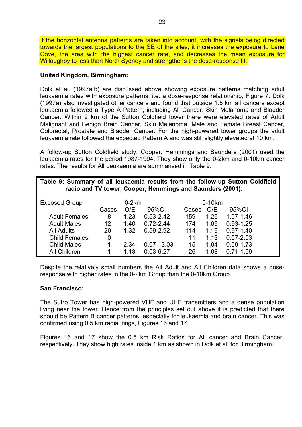If the horizontal antenna patterns are taken into account, with the signals being directed towards the largest populations to the SE of the sites, it increases the exposure to Lane Cove, the area with the highest cancer rate, and decreases the mean exposure for Willoughby to less than North Sydney and strengthens the dose-response fit.

#### **United Kingdom, Birmingham:**

Dolk et al. (1997a,b) are discussed above showing exposure patterns matching adult leukaemia rates with exposure patterns, i.e. a dose-response relationship, Figure 7. Dolk (1997a) also investigated other cancers and found that outside 1.5 km all cancers except leukaemia followed a Type A Pattern, including All Cancer, Skin Melanoma and Bladder Cancer. Within 2 km of the Sutton Coldfield tower there were elevated rates of Adult Malignant and Benign Brain Cancer, Skin Melanoma, Male and Female Breast Cancer, Colorectal, Prostate and Bladder Cancer. For the high-powered tower groups the adult leukaemia rate followed the expected Pattern A and was still slightly elevated at 10 km.

A follow-up Sutton Coldfield study, Cooper, Hemmings and Saunders (2001) used the leukaemia rates for the period 1987-1994. They show only the 0-2km and 0-10km cancer rates. The results for All Leukaemia are summarised in Table 9.

| Table 9: Summary of all leukaemia results from the follow-up Sutton Coldfield<br>radio and TV tower, Cooper, Hemmings and Saunders (2001). |       |         |               |       |          |               |
|--------------------------------------------------------------------------------------------------------------------------------------------|-------|---------|---------------|-------|----------|---------------|
| <b>Exposed Group</b>                                                                                                                       |       | $0-2km$ |               |       | $0-10km$ |               |
|                                                                                                                                            | Cases | O/E     | 95%CI         | Cases | O/E      | 95%CI         |
| <b>Adult Females</b>                                                                                                                       | 8     | 1.23    | $0.53 - 2.42$ | 159   | 1.26     | 1.07-1.46     |
| <b>Adult Males</b>                                                                                                                         | 12    | 1.40    | $0.72 - 2.44$ | 174   | 1.09     | $0.93 - 1.25$ |
| <b>All Adults</b>                                                                                                                          | 20    | 1.32    | $0.59 - 2.92$ | 114   | 1.19     | $0.97 - 1.40$ |
| <b>Child Females</b>                                                                                                                       | 0     |         |               | 11    | 1.13     | $0.57 - 2.03$ |
| <b>Child Males</b>                                                                                                                         |       | 2.34    | 0.07-13.03    | 15    | 1.04     | $0.59 - 1.73$ |
| All Children                                                                                                                               |       | 1.13    | $0.03 - 6.27$ | 26    | 1.08     | $0.71 - 1.59$ |

Despite the relatively small numbers the All Adult and All Children data shows a doseresponse with higher rates in the 0-2km Group than the 0-10km Group.

#### **San Francisco:**

The Sutro Tower has high-powered VHF and UHF transmitters and a dense population living near the tower. Hence from the principles set out above it is predicted that there should be Pattern B cancer patterns, especially for leukaemia and brain cancer. This was confirmed using 0.5 km radial rings, Figures 16 and 17.

Figures 16 and 17 show the 0.5 km Risk Ratios for All cancer and Brain Cancer, respectively. They show high rates inside 1 km as shown in Dolk et al. for Birmingham.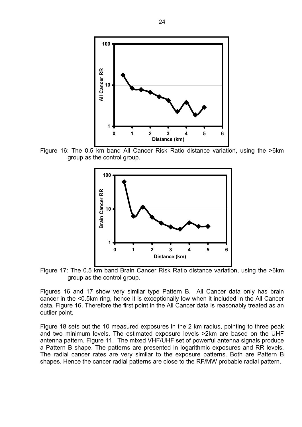

Figure 16: The 0.5 km band All Cancer Risk Ratio distance variation, using the >6km group as the control group.



Figure 17: The 0.5 km band Brain Cancer Risk Ratio distance variation, using the >6km group as the control group.

Figures 16 and 17 show very similar type Pattern B. All Cancer data only has brain cancer in the <0.5km ring, hence it is exceptionally low when it included in the All Cancer data, Figure 16. Therefore the first point in the All Cancer data is reasonably treated as an outlier point.

Figure 18 sets out the 10 measured exposures in the 2 km radius, pointing to three peak and two minimum levels. The estimated exposure levels >2km are based on the UHF antenna pattern, Figure 11. The mixed VHF/UHF set of powerful antenna signals produce a Pattern B shape. The patterns are presented in logarithmic exposures and RR levels. The radial cancer rates are very similar to the exposure patterns. Both are Pattern B shapes. Hence the cancer radial patterns are close to the RF/MW probable radial pattern.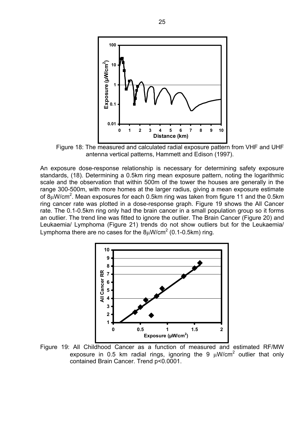

Figure 18: The measured and calculated radial exposure pattern from VHF and UHF antenna vertical patterns, Hammett and Edison (1997).

An exposure dose-response relationship is necessary for determining safety exposure standards, (18). Determining a 0.5km ring mean exposure pattern, noting the logarithmic scale and the observation that within 500m of the tower the houses are generally in the range 300-500m, with more homes at the larger radius, giving a mean exposure estimate of 8 $\mu$ W/cm<sup>2</sup>. Mean exposures for each 0.5km ring was taken from figure 11 and the 0.5km ring cancer rate was plotted in a dose-response graph. Figure 19 shows the All Cancer rate. The 0.1-0.5km ring only had the brain cancer in a small population group so it forms an outlier. The trend line was fitted to ignore the outlier. The Brain Cancer (Figure 20) and Leukaemia/ Lymphoma (Figure 21) trends do not show outliers but for the Leukaemia/ Lymphoma there are no cases for the  $8\mu$ W/cm<sup>2</sup> (0.1-0.5km) ring.



Figure 19: All Childhood Cancer as a function of measured and estimated RF/MW exposure in 0.5 km radial rings, ignoring the 9  $\mu$ W/cm<sup>2</sup> outlier that only contained Brain Cancer. Trend p<0.0001.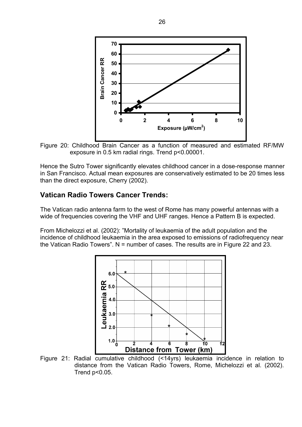

Figure 20: Childhood Brain Cancer as a function of measured and estimated RF/MW exposure in 0.5 km radial rings. Trend p<0.00001.

Hence the Sutro Tower significantly elevates childhood cancer in a dose-response manner in San Francisco. Actual mean exposures are conservatively estimated to be 20 times less than the direct exposure, Cherry (2002).

### **Vatican Radio Towers Cancer Trends:**

The Vatican radio antenna farm to the west of Rome has many powerful antennas with a wide of frequencies covering the VHF and UHF ranges. Hence a Pattern B is expected.

From Michelozzi et al. (2002): "Mortality of leukaemia of the adult population and the incidence of childhood leukaemia in the area exposed to emissions of radiofrequency near the Vatican Radio Towers". N = number of cases. The results are in Figure 22 and 23.



Figure 21: Radial cumulative childhood (<14yrs) leukaemia incidence in relation to distance from the Vatican Radio Towers, Rome, Michelozzi et al. (2002). Trend p<0.05.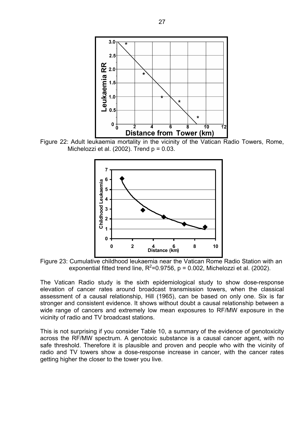

Figure 22: Adult leukaemia mortality in the vicinity of the Vatican Radio Towers, Rome, Michelozzi et al.  $(2002)$ . Trend  $p = 0.03$ .



Figure 23: Cumulative childhood leukaemia near the Vatican Rome Radio Station with an exponential fitted trend line,  $R^2$ =0.9756, p = 0.002, Michelozzi et al. (2002).

The Vatican Radio study is the sixth epidemiological study to show dose-response elevation of cancer rates around broadcast transmission towers, when the classical assessment of a causal relationship, Hill (1965), can be based on only one. Six is far stronger and consistent evidence. It shows without doubt a causal relationship between a wide range of cancers and extremely low mean exposures to RF/MW exposure in the vicinity of radio and TV broadcast stations.

This is not surprising if you consider Table 10, a summary of the evidence of genotoxicity across the RF/MW spectrum. A genotoxic substance is a causal cancer agent, with no safe threshold. Therefore it is plausible and proven and people who with the vicinity of radio and TV towers show a dose-response increase in cancer, with the cancer rates getting higher the closer to the tower you live.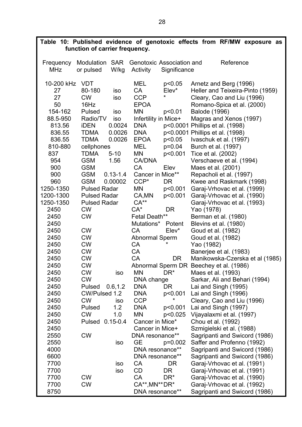|              | function of carrier frequency. |                              | Table 10: Published evidence of genotoxic effects from RF/MW exposure as |
|--------------|--------------------------------|------------------------------|--------------------------------------------------------------------------|
|              |                                |                              |                                                                          |
| Frequency    | Modulation SAR                 | Genotoxic Association and    | Reference                                                                |
| <b>MHz</b>   | or pulsed<br>W/kg              | Activity<br>Significance     |                                                                          |
| 10-200 kHz   | <b>VDT</b>                     | MEL<br>p<0.05                | Arnetz and Berg (1996)                                                   |
| 27           | 80-180<br>iso                  | CA<br>Elev*                  | Heller and Teixeira-Pinto (1959)                                         |
| 27           | <b>CW</b><br>iso               | ¥<br><b>CCP</b>              | Cleary, Cao and Liu (1996)                                               |
| 50           | 16Hz                           | <b>EPOA</b>                  | Romano-Spica et al. (2000)                                               |
| 154-162      | Pulsed<br>iso                  | MN<br>p<0.01                 | Balode (1996)                                                            |
| 88.5-950     | Radio/TV<br>iso                | Infertility in Mice+         | Magras and Xenos (1997)                                                  |
| 813.56       | <b>iDEN</b><br>0.0024          | <b>DNA</b>                   | p<0.0001 Phillips et al. (1998)                                          |
| 836.55       | <b>TDMA</b><br>0.0026          | p<0.0001<br><b>DNA</b>       | Phillips et al. (1998)                                                   |
| 836.55       | <b>TDMA</b><br>0.0026          | <b>EPOA</b><br>p<0.05        | Ivaschuk et al. (1997)                                                   |
| 810-880      | cellphones                     | <b>MEL</b><br>p=0.04         | Burch et al. (1997)                                                      |
| 837          | <b>TDMA</b><br>$5 - 10$        | ΜN<br>p<0.001                | Tice et al. (2002)                                                       |
| 954          | <b>GSM</b><br>1.56             | <b>CA/DNA</b>                | Verschaeve et al. (1994)                                                 |
| 900          | <b>GSM</b>                     | <b>CA</b><br>Elev            | Maes et al. (2001)                                                       |
| 900          | <b>GSM</b><br>$0.13 - 1.4$     | Cancer in Mice**             | Repacholi et al. (1997)                                                  |
| 960          | <b>GSM</b><br>0.00002          | $CCP*$<br><b>DR</b>          | Kwee and Raskmark (1998)                                                 |
| 1250-1350    | <b>Pulsed Radar</b>            | <b>MN</b><br>p<0.001         | Garaj-Vrhovac et al. (1999)                                              |
| 1200-1300    | <b>Pulsed Radar</b>            | p<0.001<br>CA, MN            | Garaj-Vrhovac et al. (1990)                                              |
| 1250-1350    | <b>Pulsed Radar</b>            | $CA**$                       | Garaj-Vrhovac et al. (1993)                                              |
| 2450         | <b>CW</b>                      | $CA^*$<br><b>DR</b>          | Yao (1978)                                                               |
| 2450         | <b>CW</b>                      | Fetal Death**                | Berman et al. (1980)                                                     |
| 2450         |                                | Mutations*<br>Potent         | Blevins et al. (1980)                                                    |
| 2450         | <b>CW</b>                      | CA<br>$Elev^*$               | Goud et al. (1982)                                                       |
| 2450         | <b>CW</b>                      | Abnormal Sperm<br><b>CA</b>  | Goud et al. (1982)                                                       |
| 2450<br>2450 | <b>CW</b><br><b>CW</b>         | CA                           | Yao (1982)                                                               |
| 2450         | <b>CW</b>                      | <b>CA</b><br>DR              | Banerjee et al. (1983)<br>Manikowska-Czerska et al (1985)                |
| 2450         | <b>CW</b>                      |                              | Abnormal Sperm DR Beechey et al. (1986)                                  |
| 2450         | <b>CW</b><br>iso               | DR <sup>*</sup><br>ΜN        | Maes et al. (1993)                                                       |
| 2450         | <b>CW</b>                      | DNA change                   | Sarkar, Ali and Behari (1994)                                            |
| 2450         | Pulsed<br>0.6, 1.2             | <b>DNA</b><br><b>DR</b>      | Lai and Singh (1995)                                                     |
| 2450         | CW/Pulsed 1.2                  | <b>DNA</b><br>p<0.001        | Lai and Singh (1996)                                                     |
| 2450         | <b>CW</b><br>iso               | <b>CCP</b>                   | Cleary, Cao and Liu (1996)                                               |
| 2450         | 1.2<br>Pulsed                  | <b>DNA</b><br>p<0.001        | Lai and Singh (1997)                                                     |
| 2450         | <b>CW</b><br>1.0               | MN<br>p<0.025                | Vijayalaxmi et al. (1997)                                                |
| 2450         | $0.15 - 0.4$<br>Pulsed         | Cancer in Mice*              | Chou et al. (1992)                                                       |
| 2450         |                                | Cancer in Mice+              | Szmigielski et al. (1988)                                                |
| 2550         | <b>CW</b>                      | DNA resonance**              | Sagripanti and Swicord (1986)                                            |
| 2550         | iso                            | <b>GE</b><br>$p=0.002$       | Saffer and Profenno (1992)                                               |
| 4000         |                                | DNA resonance**              | Sagripanti and Swicord (1986)                                            |
| 6600         |                                | DNA resonance**              | Sagripanti and Swicord (1986)                                            |
| 7700         | iso                            | CA<br>DR.                    | Garaj-Vrhovac et al. (1991)                                              |
| 7700         | iso                            | CD<br>DR.                    | Garaj-Vrhovac et al. (1991)                                              |
| 7700         | <b>CW</b>                      | <b>CA</b><br>DR <sup>*</sup> | Garaj-Vrhovac et al. (1990)                                              |
| 7700         | <b>CW</b>                      | CA**, MN** DR*               | Garaj-Vrhovac et al. (1992)                                              |
| 8750         |                                | DNA resonance**              | Sagripanti and Swicord (1986)                                            |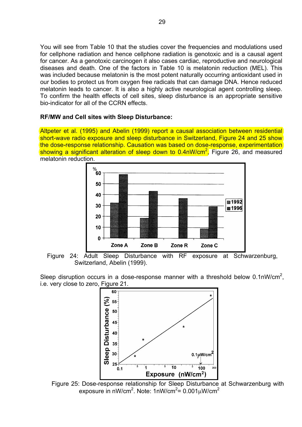You will see from Table 10 that the studies cover the frequencies and modulations used for cellphone radiation and hence cellphone radiation is genotoxic and is a causal agent for cancer. As a genotoxic carcinogen it also cases cardiac, reproductive and neurological diseases and death. One of the factors in Table 10 is melatonin reduction (MEL). This was included because melatonin is the most potent naturally occurring antioxidant used in our bodies to protect us from oxygen free radicals that can damage DNA. Hence reduced melatonin leads to cancer. It is also a highly active neurological agent controlling sleep. To confirm the health effects of cell sites, sleep disturbance is an appropriate sensitive bio-indicator for all of the CCRN effects.

#### **RF/MW and Cell sites with Sleep Disturbance:**

Altpeter et al. (1995) and Abelin (1999) report a causal association between residential short-wave radio exposure and sleep disturbance in Switzerland, Figure 24 and 25 show the dose-response relationship. Causation was based on dose-response, experimentation showing a significant alteration of sleep down to 0.4nW/cm<sup>2</sup>, Figure 26, and measured melatonin reduction.



Figure 24: Adult Sleep Disturbance with RF exposure at Schwarzenburg, Switzerland, Abelin (1999).

Sleep disruption occurs in a dose-response manner with a threshold below  $0.1$ nW/cm<sup>2</sup>, i.e. very close to zero, Figure 21.



Figure 25: Dose-response relationship for Sleep Disturbance at Schwarzenburg with exposure in nW/cm $^2$ . Note: 1nW/cm $^2$ = 0.001 $\mu$ W/cm $^2$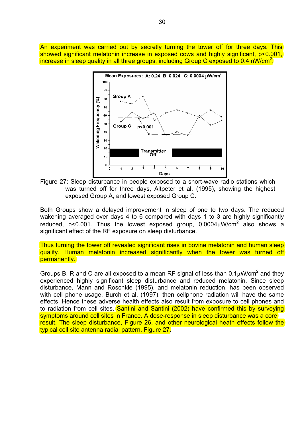An experiment was carried out by secretly turning the tower off for three days. This showed significant melatonin increase in exposed cows and highly significant, p<0.001, increase in sleep quality in all three groups, including Group C exposed to 0.4 nW/cm<sup>2</sup>.



Figure 27: Sleep disturbance in people exposed to a short-wave radio stations which was turned off for three days, Altpeter et al. (1995), showing the highest exposed Group A, and lowest exposed Group C.

Both Groups show a delayed improvement in sleep of one to two days. The reduced wakening averaged over days 4 to 6 compared with days 1 to 3 are highly significantly reduced, p<0.001. Thus the lowest exposed group,  $0.0004 \mu$ W/cm<sup>2</sup> also shows a significant effect of the RF exposure on sleep disturbance.

Thus turning the tower off revealed significant rises in bovine melatonin and human sleep quality. Human melatonin increased significantly when the tower was turned off permanently.

Groups B, R and C are all exposed to a mean RF signal of less than  $0.1 \mu$ W/cm<sup>2</sup> and they experienced highly significant sleep disturbance and reduced melatonin. Since sleep disturbance, Mann and Roschkle (1995), and melatonin reduction, has been observed with cell phone usage, Burch et al. (1997), then cellphone radiation will have the same effects. Hence these adverse health effects also result from exposure to cell phones and to radiation from cell sites. Santini and Santini (2002) have confirmed this by surveying symptoms around cell sites in France. A dose-response in sleep disturbance was a core result. The sleep disturbance, Figure 26, and other neurological heath effects follow the typical cell site antenna radial pattern, Figure 27.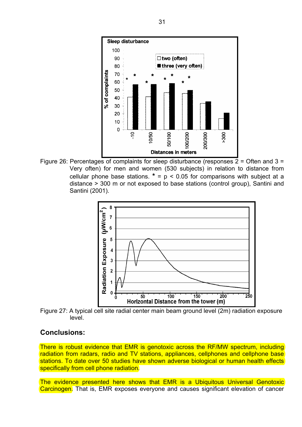

Figure 26: Percentages of complaints for sleep disturbance (responses  $2 =$  Often and  $3 =$ Very often) for men and women (530 subjects) in relation to distance from cellular phone base stations.  $* = p < 0.05$  for comparisons with subject at a distance > 300 m or not exposed to base stations (control group), Santini and Santini (2001).



Figure 27: A typical cell site radial center main beam ground level (2m) radiation exposure level.

#### **Conclusions:**

There is robust evidence that EMR is genotoxic across the RF/MW spectrum, including radiation from radars, radio and TV stations, appliances, cellphones and cellphone base stations. To date over 50 studies have shown adverse biological or human health effects specifically from cell phone radiation.

The evidence presented here shows that EMR is a Ubiquitous Universal Genotoxic Carcinogen. That is, EMR exposes everyone and causes significant elevation of cancer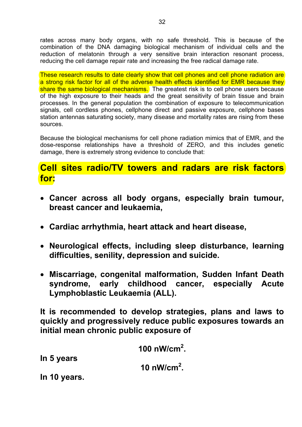rates across many body organs, with no safe threshold. This is because of the combination of the DNA damaging biological mechanism of individual cells and the reduction of melatonin through a very sensitive brain interaction resonant process, reducing the cell damage repair rate and increasing the free radical damage rate.

These research results to date clearly show that cell phones and cell phone radiation are a strong risk factor for all of the adverse health effects identified for EMR because they share the same biological mechanisms. The greatest risk is to cell phone users because of the high exposure to their heads and the great sensitivity of brain tissue and brain processes. In the general population the combination of exposure to telecommunication signals, cell cordless phones, cellphone direct and passive exposure, cellphone bases station antennas saturating society, many disease and mortality rates are rising from these sources.

Because the biological mechanisms for cell phone radiation mimics that of EMR, and the dose-response relationships have a threshold of ZERO, and this includes genetic damage, there is extremely strong evidence to conclude that:

# **Cell sites radio/TV towers and radars are risk factors for:**

- **Cancer across all body organs, especially brain tumour, breast cancer and leukaemia,**
- **Cardiac arrhythmia, heart attack and heart disease,**
- **Neurological effects, including sleep disturbance, learning difficulties, senility, depression and suicide.**
- **Miscarriage, congenital malformation, Sudden Infant Death syndrome, early childhood cancer, especially Acute Lymphoblastic Leukaemia (ALL).**

**It is recommended to develop strategies, plans and laws to quickly and progressively reduce public exposures towards an initial mean chronic public exposure of** 

**100 nW/cm2 . In 5 years 10 nW/cm2 . In 10 years.**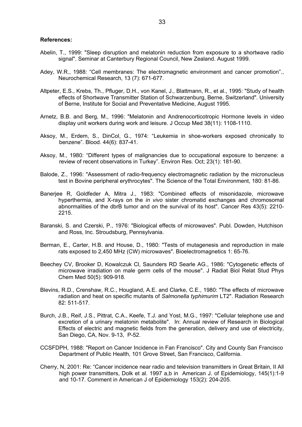#### **References:**

- Abelin, T., 1999: "Sleep disruption and melatonin reduction from exposure to a shortwave radio signal". Seminar at Canterbury Regional Council, New Zealand. August 1999.
- Adey, W.R., 1988: "Cell membranes: The electromagnetic environment and cancer promotion"., Neurochemical Research, 13 (7): 671-677.
- Altpeter, E.S., Krebs, Th., Pfluger, D.H., von Kanel, J., Blattmann, R., et al., 1995: "Study of health effects of Shortwave Transmitter Station of Schwarzenburg, Berne, Switzerland". University of Berne, Institute for Social and Preventative Medicine, August 1995.
- Arnetz, B.B. and Berg, M., 1996: "Melatonin and Andrenocorticotropic Hormone levels in video display unit workers during work and leisure. J Occup Med 38(11): 1108-1110.
- Aksoy, M., Erdem, S., DinCol, G., 1974: "Leukemia in shoe-workers exposed chronically to benzene". Blood. 44(6): 837-41.
- Aksoy, M., 1980: "Different types of malignancies due to occupational exposure to benzene: a review of recent observations in Turkey". Environ Res. Oct; 23(1): 181-90.
- Balode, Z., 1996: "Assessment of radio-frequency electromagnetic radiation by the micronucleus test in Bovine peripheral erythrocytes". The Science of the Total Environment, 180: 81-86.
- Banerjee R, Goldfeder A, Mitra J., 1983: "Combined effects of misonidazole, microwave hyperthermia, and X-rays on the *in vivo* sister chromatid exchanges and chromosomal abnormalities of the dbrB tumor and on the survival of its host". Cancer Res 43(5): 2210- 2215.
- Baranski, S. and Czerski, P., 1976: "Biological effects of microwaves". Publ. Dowden, Hutchison and Ross, Inc. Stroudsburg, Pennsylvania.
- Berman, E., Carter, H.B. and House, D., 1980: "Tests of mutagenesis and reproduction in male rats exposed to 2,450 MHz (CW) microwaves". Bioelectromagnetics 1: 65-76.
- Beechey CV, Brooker D, Kowalczuk Cl, Saunders RD Searle AG., 1986: "Cytogenetic effects of microwave irradiation on male germ cells of the mouse". J Radiat Biol Relat Stud Phys Chem Med 50(5): 909-918.
- Blevins, R.D., Crenshaw, R.C., Hougland, A.E. and Clarke, C.E., 1980: "The effects of microwave radiation and heat on specific mutants of *Salmonella typhimurim* LT2". Radiation Research 82: 511-517.
- Burch, J.B., Reif, J.S., Pittrat, C.A., Keefe, T.J. and Yost, M.G., 1997: "Cellular telephone use and excretion of a urinary melatonin metabolite". In: Annual review of Research in Biological Effects of electric and magnetic fields from the generation, delivery and use of electricity, San Diego, CA, Nov. 9-13, P-52.
- CCSFDPH, 1988: "Report on Cancer Incidence in Fan Francisco". City and County San Francisco Department of Public Health, 101 Grove Street, San Francisco, California.
- Cherry, N, 2001: Re: "Cancer incidence near radio and television transmitters in Great Britain, II All high power transmitters, Dolk et al. 1997 a,b in American J. of Epidemiology, 145(1):1-9 and 10-17. Comment in American J of Epidemiology 153(2): 204-205.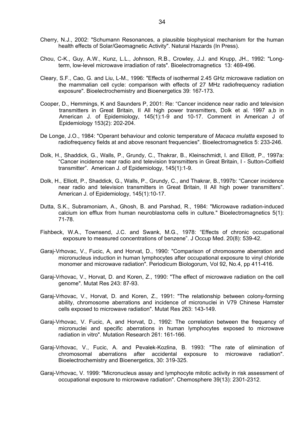- Cherry, N.J., 2002: "Schumann Resonances, a plausible biophysical mechanism for the human health effects of Solar/Geomagnetic Activity". Natural Hazards (In Press).
- Chou, C-K., Guy, A.W., Kunz, L.L., Johnson, R.B., Crowley, J.J. and Krupp, JH., 1992: "Longterm, low-level microwave irradiation of rats". Bioelectromagnetics 13: 469-496.
- Cleary, S.F., Cao, G. and Liu, L-M., 1996: "Effects of isothermal 2.45 GHz microwave radiation on the mammalian cell cycle: comparison with effects of 27 MHz radiofrequency radiation exposure". Bioelectrochemistry and Bioenergetics 39: 167-173.
- Cooper, D., Hemmings, K and Saunders P, 2001: Re: "Cancer incidence near radio and television transmitters in Great Britain, II All high power transmitters, Dolk et al. 1997 a,b in American J. of Epidemiology, 145(1):1-9 and 10-17. Comment in American J of Epidemiology 153(2): 202-204.
- De Longe, J.O., 1984: "Operant behaviour and colonic temperature of *Macaca mulatta* exposed to radiofrequency fields at and above resonant frequencies". Bioelectromagnetics 5: 233-246.
- Dolk, H., Shaddick, G., Walls, P., Grundy, C., Thakrar, B., Kleinschmidt, I. and Elliott, P., 1997a: "Cancer incidence near radio and television transmitters in Great Britain, I - Sutton-Colfield transmitter". American J. of Epidemiology, 145(1):1-9.
- Dolk, H., Elliott, P., Shaddick, G., Walls, P., Grundy, C., and Thakrar, B.,1997b: "Cancer incidence near radio and television transmitters in Great Britain, II All high power transmitters". American J. of Epidemiology, 145(1):10-17.
- Dutta, S.K., Subramoniam, A., Ghosh, B. and Parshad, R., 1984: "Microwave radiation-induced calcium ion efflux from human neuroblastoma cells in culture." Bioelectromagnetics 5(1): 71-78.
- Fishbeck, W.A., Townsend, J.C. and Swank, M.G., 1978: "Effects of chronic occupational exposure to measured concentrations of benzene". J Occup Med. 20(8): 539-42.
- Garaj-Vrhovac, V., Fucic, A, and Horvat, D., 1990: "Comparison of chromosome aberration and micronucleus induction in human lymphocytes after occupational exposure to vinyl chloride monomer and microwave radiation". Periodicum Biologorum, Vol 92, No.4, pp 411-416.
- Garaj-Vrhovac, V., Horvat, D. and Koren, Z., 1990: "The effect of microwave radiation on the cell genome". Mutat Res 243: 87-93.
- Garaj-Vrhovac, V., Horvat, D. and Koren, Z., 1991: "The relationship between colony-forming ability, chromosome aberrations and incidence of micronuclei in V79 Chinese Hamster cells exposed to microwave radiation". Mutat Res 263: 143-149.
- Garaj-Vrhovac, V. Fucic, A, and Horvat, D., 1992: The correlation between the frequency of micronuclei and specific aberrations in human lymphocytes exposed to microwave radiation in vitro". Mutation Research 261: 161-166.
- Garaj-Vrhovac, V., Fucic, A. and Pevalek-Kozlina, B. 1993: "The rate of elimination of chromosomal aberrations after accidental exposure to microwave radiation". Bioelectrochemistry and Bioenergetics, 30: 319-325.
- Garaj-Vrhovac, V. 1999: "Micronucleus assay and lymphocyte mitotic activity in risk assessment of occupational exposure to microwave radiation". Chemosphere 39(13): 2301-2312.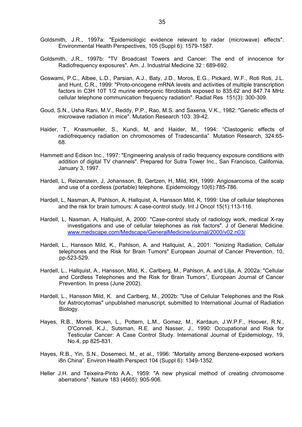- Goldsmith, J.R., 1997a: "Epidemiologic evidence relevant to radar (microwave) effects". Environmental Health Perspectives, 105 (Suppl 6): 1579-1587.
- Goldsmith, J.R., 1997b: "TV Broadcast Towers and Cancer: The end of innocence for Radiofrequency exposures". Am. J. Industrial Medicine 32 : 689-692.
- Goswami, P.C., Albee, L.D., Parsian, A.J., Baty, J.D., Moros, E.G., Pickard, W.F., Roti Roti, J.L. and Hunt, C.R., 1999: "Proto-oncogene mRNA levels and activities of multiple transcription factors in C3H 10T 1/2 murine embryonic fibroblasts exposed to 835.62 and 847.74 MHz cellular telephone communication frequency radiation". Radiat Res 151(3): 300-309.
- Goud, S.N., Usha Rani, M.V., Reddy, P.P., Rao, M.S. and Saxena, V.K., 1982: "Genetic effects of microwave radiation in mice". Mutation Research 103: 39-42.
- Haider, T., Knasmueller, S., Kundi, M, and Haider, M., 1994: "Clastogenic effects of radiofrequency radiation on chromosomes of Tradescantia". Mutation Research, 324:65- 68.
- Hammett and Edison Inc., 1997: "Engineering analysis of radio frequency exposure conditions with addition of digital TV channels". Prepared for Sutra Tower Inc., San Francisco, California, January 3, 1997.
- Hardell, L, Reizenstein, J, Johansson, B, Gertzen, H, Mild, KH, 1999: Angiosarcoma of the scalp and use of a cordless (portable) telephone. Epidemiology 10(6):785-786.
- Hardell, L, Nasman, A, Pahlson, A, Hallquist, A, Hansson Mild, K, 1999: Use of cellular telephones and the risk for brain tumours: A case-control study. Int J Oncol 15(1):113-116.
- Hardell, L, Nasman, A, Hallquist, A, 2000: "Case-control study of radiology work, medical X-ray investigations and use of cellular telephones as risk factors". J of General Medicine. www.medscape.com/Medscape/GeneralMedicine/journal/2000/v02.n03/
- Hardell, L., Hansson Mild, K., Pahlson, A. and Hallquist, A., 2001: "Ionizing Radiation, Cellular telephones and the Risk for Brain Tumors" European Journal of Cancer Prevention, 10, pp-523-529.
- Hardell, L., Hallquist, A., Hansson, Mild, K., Carlberg, M., Pahlson, A. and Lilja, A. 2002a: "Cellular and Cordless Telephones and the Risk for Brain Tumors", European Journal of Cancer Prevention. In press (June 2002).
- Hardell, L., Hansson Mild, K. and Carlberg, M., 2002b: "Use of Cellular Telephones and the Risk for Astrocytomas" unpublished manuscript, submitted to International Journal of Radiation Biology.
- Hayes, R.B., Morris Brown, L., Pottern, L.M., Gomez, M., Kardaun, J.W.P.F., Hoover, R.N., O'Connell, K.J., Sutsman, R.E. and Nasser, J., 1990: Occupational and Risk for Testicular Cancer: A Case Control Study. International Journal of Epidemiology, 19, No.4, pp 825-831.
- Hayes, R.B., Yin, S.N., Dosemeci, M., et al., 1996: "Mortality among Benzene-exposed workers i8n China". Environ Health Perspect 104 (Suppl 6): 1349-1352.
- Heller J.H. and Teixeira-Pinto A.A., 1959: "A new physical method of creating chromosome aberrations". Nature 183 (4665): 905-906.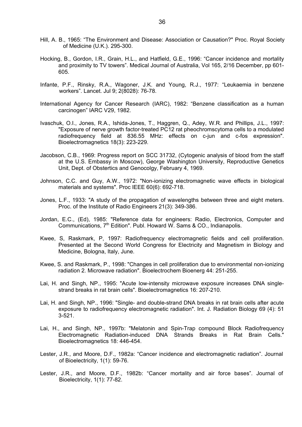- Hill, A. B., 1965: "The Environment and Disease: Association or Causation?" Proc. Royal Society of Medicine (U.K.). 295-300.
- Hocking, B., Gordon, I.R., Grain, H.L., and Hatfield, G.E., 1996: "Cancer incidence and mortality and proximity to TV towers". Medical Journal of Australia, Vol 165, 2/16 December, pp 601- 605.
- Infante, P.F., Rinsky, R.A., Wagoner, J.K. and Young, R.J., 1977: "Leukaemia in benzene workers". Lancet. Jul 9; 2(8028): 76-78.
- International Agency for Cancer Research (IARC), 1982: "Benzene classification as a human carcinogen" IARC V29, 1982.
- Ivaschuk, O.I., Jones, R.A., Ishida-Jones, T., Haggren, Q., Adey, W.R. and Phillips, J.L., 1997: "Exposure of nerve growth factor-treated PC12 rat pheochromscytoma cells to a modulated radiofrequency field at 836.55 MHz: effects on c-jun and c-fos expression". Bioelectromagnetics 18(3): 223-229.
- Jacobson, C.B., 1969: Progress report on SCC 31732, (Cytogenic analysis of blood from the staff at the U.S. Embassy in Moscow), George Washington University, Reproductive Genetics Unit, Dept. of Obstertics and Genocolgy, February 4, 1969.
- Johnson, C.C. and Guy, A.W., 1972: "Non-ionizing electromagnetic wave effects in biological materials and systems". Proc IEEE 60(6): 692-718.
- Jones, L.F., 1933: "A study of the propagation of wavelengths between three and eight meters. Proc. of the Institute of Radio Engineers 21(3): 349-386.
- Jordan, E.C., (Ed), 1985: "Reference data for engineers: Radio, Electronics, Computer and Communications, 7<sup>th</sup> Edition". Publ. Howard W. Sams & CO., Indianapolis.
- Kwee, S, Raskmark, P, 1997: Radiofrequency electromagnetic fields and cell proliferation. Presented at the Second World Congress for Electricity and Magnetism in Biology and Medicine, Bologna, Italy, June.
- Kwee, S. and Raskmark, P., 1998: "Changes in cell proliferation due to environmental non-ionizing radiation 2. Microwave radiation". Bioelectrochem Bioenerg 44: 251-255.
- Lai, H. and Singh, NP., 1995: "Acute low-intensity microwave exposure increases DNA singlestrand breaks in rat brain cells". Bioelectromagnetics 16: 207-210.
- Lai, H. and Singh, NP., 1996: "Single- and double-strand DNA breaks in rat brain cells after acute exposure to radiofrequency electromagnetic radiation". Int. J. Radiation Biology 69 (4): 51 3-521.
- Lai, H., and Singh, NP., 1997b: "Melatonin and Spin-Trap compound Block Radiofrequency Electromagnetic Radiation-induced DNA Strands Breaks in Rat Brain Cells." Bioelectromagnetics 18: 446-454.
- Lester, J.R., and Moore, D.F., 1982a: "Cancer incidence and electromagnetic radiation". Journal of Bioelectricity, 1(1): 59-76.
- Lester, J.R., and Moore, D.F., 1982b: "Cancer mortality and air force bases". Journal of Bioelectricity, 1(1): 77-82.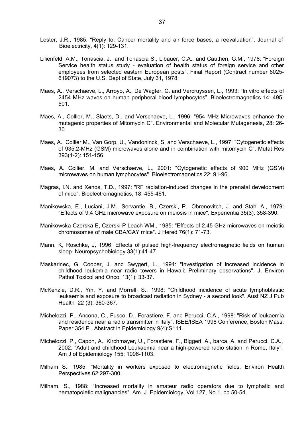- Lester, J.R., 1985: "Reply to: Cancer mortality and air force bases, a reevaluation". Journal of Bioelectricity, 4(1): 129-131.
- Lilienfeld, A.M., Tonascia, J., and Tonascia S., Libauer, C.A., and Cauthen, G.M., 1978: "Foreign Service health status study - evaluation of health status of foreign service and other employees from selected eastern European posts". Final Report (Contract number 6025- 619073) to the U.S. Dept of State, July 31, 1978.
- Maes, A., Verschaeve, L., Arroyo, A., De Wagter, C. and Vercruyssen, L., 1993: "In vitro effects of 2454 MHz waves on human peripheral blood lymphocytes". Bioelectromagnetics 14: 495- 501.
- Maes, A., Collier, M., Slaets, D., and Verschaeve, L., 1996: "954 MHz Microwaves enhance the mutagenic properties of Mitomycin C". Environmental and Molecular Mutagenesis, 28: 26- 30.
- Maes, A., Collier M., Van Gorp, U., Vandoninck, S. and Verschaeve, L., 1997: "Cytogenetic effects of 935.2-MHz (GSM) microwaves alone and in combination with mitomycin C". Mutat Res 393(1-2): 151-156.
- Maes, A. Collier, M. and Verschaeve, L., 2001: "Cytogenetic effects of 900 MHz (GSM) microwaves on human lymphocytes". Bioelectromagnetics 22: 91-96.
- Magras, I.N. and Xenos, T.D., 1997: "RF radiation-induced changes in the prenatal development of mice". Bioelectromagnetics, 18: 455-461.
- Manikowska, E., Luciani, J.M., Servantie, B., Czerski, P., Obrenovitch, J. and Stahl A., 1979: "Effects of 9.4 GHz microwave exposure on meiosis in mice". Experientia 35(3): 358-390.
- Manikowska-Czerska E, Czerski P Leach WM., 1985: "Effects of 2.45 GHz microwaves on meiotic chromosomes of male CBA/CAY mice". J Hered 76(1): 71-73.
- Mann, K, Roschke, J, 1996: Effects of pulsed high-frequency electromagnetic fields on human sleep. Neuropsychobiology 33(1):41-47.
- Maskarinec, G. Cooper, J. and Swygert, L., 1994: "Investigation of increased incidence in childhood leukemia near radio towers in Hawaii: Preliminary observations". J. Environ Pathol Toxicol and Oncol 13(1): 33-37.
- McKenzie, D.R., Yin, Y. and Morrell, S., 1998: "Childhood incidence of acute lymphoblastic leukaemia and exposure to broadcast radiation in Sydney - a second look". Aust NZ J Pub Health 22 (3): 360-367.
- Michelozzi, P., Ancona, C., Fusco, D., Forastiere, F. and Perucci, C.A., 1998: "Risk of leukaemia and residence near a radio transmitter in Italy". ISEE/ISEA 1998 Conference, Boston Mass. Paper 354 P., Abstract in Epidemiology 9(4):S111.
- Michelozzi, P., Capon, A., Kirchmayer, U., Forastiere, F., Biggeri, A., barca, A. and Perucci, C.A., 2002: "Adult and childhood Leukaemia near a high-powered radio station in Rome, Italy". Am J of Epidemiology 155: 1096-1103.
- Milham S., 1985: "Mortality in workers exposed to electromagnetic fields. Environ Health Perspectives 62:297-300.
- Milham, S., 1988: "Increased mortality in amateur radio operators due to lymphatic and hematopoietic malignancies". Am. J. Epidemiology, Vol 127, No.1, pp 50-54.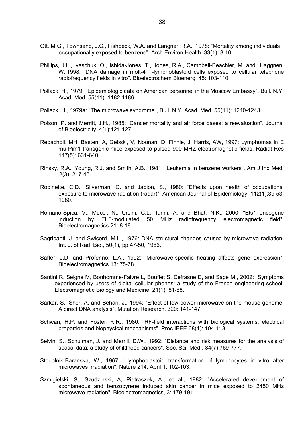- Ott, M.G., Townsend, J.C., Fishbeck, W.A. and Langner, R.A., 1978: "Mortality among individuals occupationally exposed to benzene". Arch Environ Health. 33(1): 3-10.
- Phillips, J.L., Ivaschuk, O., Ishida-Jones, T., Jones, R.A., Campbell-Beachler, M. and Haggnen, W.,1998: "DNA damage in molt-4 T-lymphoblastoid cells exposed to cellular telephone radiofrequency fields in vitro". Bioelectrochem Bioenerg 45: 103-110.
- Pollack, H., 1979: "Epidemiologic data on American personnel in the Moscow Embassy", Bull. N.Y. Acad. Med, 55(11): 1182-1186.
- Pollack, H., 1979a: "The microwave syndrome", Bull. N.Y. Acad. Med, 55(11): 1240-1243.
- Polson, P. and Merritt, J.H., 1985: "Cancer mortality and air force bases: a reevaluation". Journal of Bioelectricity, 4(1):121-127.
- Repacholi, MH, Basten, A, Gebski, V, Noonan, D, Finnie, J, Harris, AW, 1997: Lymphomas in E mu-Pim1 transgenic mice exposed to pulsed 900 MHZ electromagnetic fields. Radiat Res 147(5): 631-640.
- Rinsky, R.A., Young, R.J. and Smith, A.B., 1981: "Leukemia in benzene workers". Am J Ind Med. 2(3): 217-45.
- Robinette, C.D., Silverman, C. and Jablon, S., 1980: "Effects upon health of occupational exposure to microwave radiation (radar)". American Journal of Epidemiology, 112(1):39-53, 1980.
- Romano-Spica, V., Mucci, N., Ursini, C.L., Ianni, A. and Bhat, N.K., 2000: "Ets1 oncogene induction by ELF-modulated 50 MHz radiofrequency electromagnetic field". Bioelectromagnetics 21: 8-18.
- Sagripanti, J. and Swicord, M.L., 1976: DNA structural changes caused by microwave radiation. Int. J. of Rad. Bio., 50(1), pp 47-50, 1986.
- Saffer, J.D. and Profenno, L.A., 1992: "Microwave-specific heating affects gene expression". Bioelectromagnetics 13: 75-78.
- Santini R, Seigne M, Bonhomme-Faivre L, Bouffet S, Defrasne E, and Sage M., 2002: "Symptoms experienced by users of digital cellular phones: a study of the French engineering school. Electromagnetic Biology and Medicine. 21(1): 81-88.
- Sarkar, S., Sher, A. and Behari, J., 1994: "Effect of low power microwave on the mouse genome: A direct DNA analysis". Mutation Research, 320: 141-147.
- Schwan, H.P. and Foster, K.R., 1980: "RF-field interactions with biological systems: electrical properties and biophysical mechanisms". Proc IEEE 68(1): 104-113.
- Selvin, S., Schulman, J. and Merrill, D.W., 1992: "Distance and risk measures for the analysis of spatial data: a study of childhood cancers". Soc. Sci. Med., 34(7):769-777.
- Stodolnik-Baranska, W., 1967: "Lymphoblastoid transformation of lymphocytes in vitro after microwaves irradiation". Nature 214, April 1: 102-103.
- Szmigielski, S., Szudzinski, A, Pietraszek, A., et al., 1982: "Accelerated development of spontaneous and benzopyrene induced skin cancer in mice exposed to 2450 MHz microwave radiation". Bioelectromagnetics, 3: 179-191.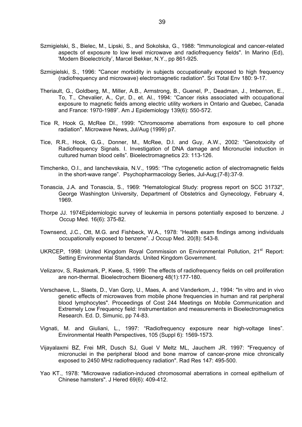- Szmigielski, S., Bielec, M., Lipski, S., and Sokolska, G., 1988: "Immunological and cancer-related aspects of exposure to low level microwave and radiofrequency fields". In Marino (Ed), 'Modern Bioelectricity', Marcel Bekker, N.Y., pp 861-925.
- Szmigielski, S., 1996: "Cancer morbidity in subjects occupationally exposed to high frequency (radiofrequency and microwave) electromagnetic radiation". Sci Total Env 180: 9-17.
- Theriault, G., Goldberg, M., Miller, A.B., Armstrong, B., Guenel, P., Deadman, J., Imbernon, E., To, T., Chevalier, A., Cyr, D., et. Al., 1994: "Cancer risks associated with occupational exposure to magnetic fields among electric utility workers in Ontario and Quebec, Canada and France: 1970-1989". Am J Epidemiology 139(6): 550-572.
- Tice R, Hook G, McRee DI., 1999: "Chromosome aberrations from exposure to cell phone radiation". Microwave News, Jul/Aug (1999) p7.
- Tice, R.R., Hook, G.G., Donner, M., McRee, D.I. and Guy, A.W., 2002: "Genotoxicity of Radiofrequency Signals. I. Investigation of DNA damage and Micronuclei induction in cultured human blood cells". Bioelectromagnetics 23: 113-126.
- Timchenko, O.I., and Ianchevskaia, N.V., 1995: "The cytogenetic action of electromagnetic fields in the short-wave range". Psychopharmacology Series, Jul-Aug;(7-8):37-9.
- Tonascia, J.A. and Tonascia, S., 1969: "Hematological Study: progress report on SCC 31732", George Washington University, Department of Obstetrics and Gynecology, February 4, 1969.
- Thorpe JJ. 1974Epidemiologic survey of leukemia in persons potentially exposed to benzene. J Occup Med. 16(6): 375-82.
- Townsend, J.C., Ott, M.G. and Fishbeck, W.A., 1978: "Health exam findings among individuals occupationally exposed to benzene". J Occup Med. 20(8): 543-8.
- UKRCEP, 1998: United Kingdom Royal Commission on Environmental Pollution, 21<sup>st</sup> Report: Setting Environmental Standards. United Kingdom Government.
- Velizarov, S, Raskmark, P, Kwee, S, 1999: The effects of radiofrequency fields on cell proliferation are non-thermal. Bioelectrochem Bioenerg 48(1):177-180.
- Verschaeve, L., Slaets, D., Van Gorp, U., Maes, A. and Vanderkom, J., 1994: "In vitro and in vivo genetic effects of microwaves from mobile phone frequencies in human and rat peripheral blood lymphocytes". Proceedings of Cost 244 Meetings on Mobile Communication and Extremely Low Frequency field: Instrumentation and measurements in Bioelectromagnetics Research. Ed. D, Simunic, pp 74-83.
- Vignati, M. and Giuliani, L., 1997: "Radiofrequency exposure near high-voltage lines". Environmental Health Perspectives, 105 (Suppl 6): 1569-1573.
- Vijayalaxmi BZ, Frei MR, Dusch SJ, Guel V Meltz ML, Jauchem JR. 1997: "Frequency of micronuclei in the peripheral blood and bone marrow of cancer-prone mice chronically exposed to 2450 MHz radiofrequency radiation". Rad Res 147: 495-500.
- Yao KT., 1978: "Microwave radiation-induced chromosomal aberrations in corneal epithelium of Chinese hamsters". J Hered 69(6): 409-412.